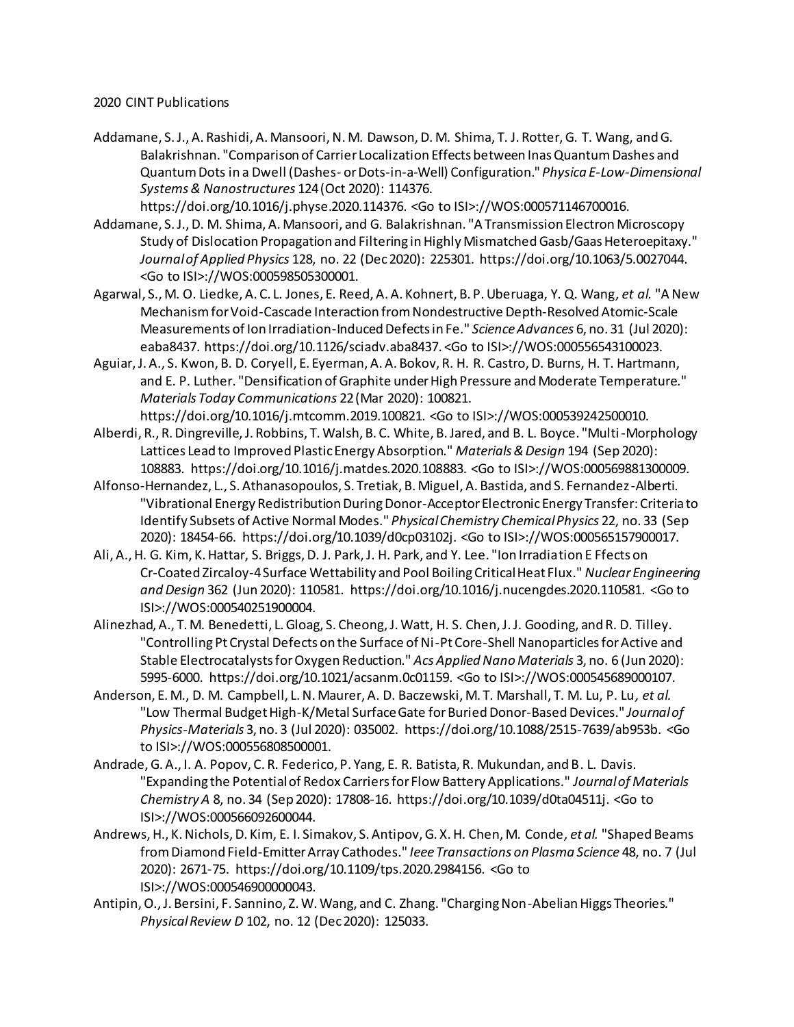## 2020 CINT Publications

Addamane, S. J., A. Rashidi, A. Mansoori, N. M. Dawson, D. M. Shima, T. J. Rotter, G. T. Wang, and G. Balakrishnan. "Comparison of Carrier Localization Effects between Inas Quantum Dashes and Quantum Dots in a Dwell (Dashes- or Dots-in-a-Well) Configuration." *Physica E-Low-Dimensional Systems & Nanostructures* 124 (Oct 2020): 114376.

https://doi.org/10.1016/j.physe.2020.114376. <Go to ISI>://WOS:000571146700016.

- Addamane, S. J., D. M. Shima, A. Mansoori, and G. Balakrishnan. "A Transmission Electron Microscopy Study of Dislocation Propagation and Filtering in Highly Mismatched Gasb/Gaas Heteroepitaxy." *Journal of Applied Physics* 128, no. 22 (Dec 2020): 225301. https://doi.org/10.1063/5.0027044. <Go to ISI>://WOS:000598505300001.
- Agarwal, S., M. O. Liedke, A. C. L. Jones, E. Reed, A. A. Kohnert, B. P. Uberuaga, Y. Q. Wang*, et al.* "A New Mechanism for Void-Cascade Interaction from Nondestructive Depth-Resolved Atomic-Scale Measurements of Ion Irradiation-Induced Defects in Fe." *Science Advances* 6, no. 31 (Jul 2020): eaba8437. https://doi.org/10.1126/sciadv.aba8437. <Go to ISI>://WOS:000556543100023.
- Aguiar, J. A., S. Kwon, B. D. Coryell, E. Eyerman, A. A. Bokov, R. H. R. Castro, D. Burns, H. T. Hartmann, and E. P. Luther. "Densification of Graphite under High Pressure and Moderate Temperature." *Materials Today Communications* 22 (Mar 2020): 100821. https://doi.org/10.1016/j.mtcomm.2019.100821. <Go to ISI>://WOS:000539242500010.
- Alberdi, R., R. Dingreville, J. Robbins, T. Walsh, B. C. White, B. Jared, and B. L. Boyce. "Multi-Morphology Lattices Lead to Improved Plastic Energy Absorption." *Materials & Design* 194 (Sep 2020): 108883. https://doi.org/10.1016/j.matdes.2020.108883. <Go to ISI>://WOS:000569881300009.
- Alfonso-Hernandez, L., S. Athanasopoulos, S. Tretiak, B. Miguel, A. Bastida, and S. Fernandez-Alberti. "Vibrational Energy Redistribution During Donor-Acceptor Electronic Energy Transfer: Criteria to Identify Subsets of Active Normal Modes." *Physical Chemistry Chemical Physics* 22, no. 33 (Sep 2020): 18454-66. https://doi.org/10.1039/d0cp03102j. <Go to ISI>://WOS:000565157900017.
- Ali, A., H. G. Kim, K. Hattar, S. Briggs, D. J. Park, J. H. Park, and Y. Lee. "Ion Irradiation E Ffects on Cr-Coated Zircaloy-4 Surface Wettability and Pool Boiling Critical Heat Flux." *Nuclear Engineering and Design* 362 (Jun 2020): 110581. https://doi.org/10.1016/j.nucengdes.2020.110581. <Go to ISI>://WOS:000540251900004.
- Alinezhad, A., T. M. Benedetti, L. Gloag, S. Cheong, J. Watt, H. S. Chen, J. J. Gooding, and R. D. Tilley. "Controlling Pt Crystal Defects on the Surface of Ni-Pt Core-Shell Nanoparticles for Active and Stable Electrocatalysts for Oxygen Reduction." *Acs Applied Nano Materials* 3, no. 6 (Jun 2020): 5995-6000. https://doi.org/10.1021/acsanm.0c01159. <Go to ISI>://WOS:000545689000107.
- Anderson, E. M., D. M. Campbell, L. N. Maurer, A. D. Baczewski, M. T. Marshall, T. M. Lu, P. Lu*, et al.* "Low Thermal Budget High-K/Metal Surface Gate for Buried Donor-Based Devices." *Journal of Physics-Materials* 3, no. 3 (Jul 2020): 035002. https://doi.org/10.1088/2515-7639/ab953b. <Go to ISI>://WOS:000556808500001.
- Andrade, G. A., I. A. Popov, C. R. Federico, P. Yang, E. R. Batista, R. Mukundan, and B. L. Davis. "Expanding the Potential of Redox Carriers for Flow Battery Applications." *Journal of Materials Chemistry A* 8, no. 34 (Sep 2020): 17808-16. https://doi.org/10.1039/d0ta04511j. <Go to ISI>://WOS:000566092600044.
- Andrews, H., K. Nichols, D. Kim, E. I. Simakov, S. Antipov, G. X. H. Chen, M. Conde*, et al.* "Shaped Beams from Diamond Field-Emitter Array Cathodes." *Ieee Transactions on Plasma Science* 48, no. 7 (Jul 2020): 2671-75. https://doi.org/10.1109/tps.2020.2984156. <Go to ISI>://WOS:000546900000043.
- Antipin, O., J. Bersini, F. Sannino, Z. W. Wang, and C. Zhang. "Charging Non-Abelian Higgs Theories." *Physical Review D* 102, no. 12 (Dec 2020): 125033.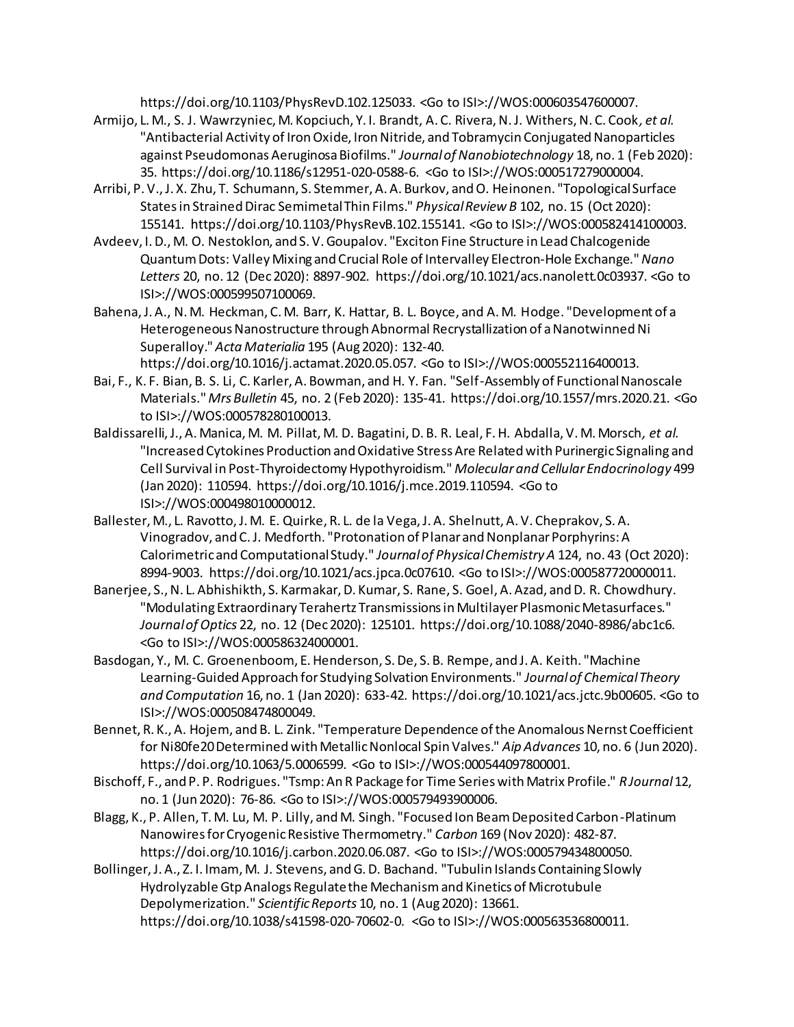https://doi.org/10.1103/PhysRevD.102.125033. <Go to ISI>://WOS:000603547600007.

- Armijo, L. M., S. J. Wawrzyniec, M. Kopciuch, Y. I. Brandt, A. C. Rivera, N. J. Withers, N. C. Cook*, et al.* "Antibacterial Activity of Iron Oxide, Iron Nitride, and Tobramycin Conjugated Nanoparticles against Pseudomonas Aeruginosa Biofilms." *Journal of Nanobiotechnology* 18, no. 1 (Feb 2020): 35. https://doi.org/10.1186/s12951-020-0588-6. <Go to ISI>://WOS:000517279000004.
- Arribi, P. V., J. X. Zhu, T. Schumann, S. Stemmer, A. A. Burkov, and O. Heinonen. "Topological Surface States in Strained Dirac Semimetal Thin Films." *Physical Review B* 102, no. 15 (Oct 2020): 155141. https://doi.org/10.1103/PhysRevB.102.155141. <Go to ISI>://WOS:000582414100003.
- Avdeev, I. D., M. O. Nestoklon, and S. V. Goupalov. "Exciton Fine Structure in Lead Chalcogenide Quantum Dots: Valley Mixing and Crucial Role of Intervalley Electron-Hole Exchange." *Nano Letters* 20, no. 12 (Dec 2020): 8897-902. https://doi.org/10.1021/acs.nanolett.0c03937. <Go to ISI>://WOS:000599507100069.
- Bahena, J. A., N. M. Heckman, C. M. Barr, K. Hattar, B. L. Boyce, and A. M. Hodge. "Development of a Heterogeneous Nanostructure through Abnormal Recrystallization of a Nanotwinned Ni Superalloy." *Acta Materialia* 195 (Aug 2020): 132-40. https://doi.org/10.1016/j.actamat.2020.05.057. <Go to ISI>://WOS:000552116400013.
- Bai, F., K. F. Bian, B. S. Li, C. Karler, A. Bowman, and H. Y. Fan. "Self-Assembly of Functional Nanoscale Materials." *Mrs Bulletin* 45, no. 2 (Feb 2020): 135-41. https://doi.org/10.1557/mrs.2020.21. <Go to ISI>://WOS:000578280100013.
- Baldissarelli, J., A. Manica, M. M. Pillat, M. D. Bagatini, D. B. R. Leal, F. H. Abdalla, V. M. Morsch*, et al.* "Increased Cytokines Production and Oxidative Stress Are Related with Purinergic Signaling and Cell Survival in Post-Thyroidectomy Hypothyroidism." *Molecular and Cellular Endocrinology* 499 (Jan 2020): 110594. https://doi.org/10.1016/j.mce.2019.110594. <Go to ISI>://WOS:000498010000012.
- Ballester, M., L. Ravotto, J. M. E. Quirke, R. L. de la Vega, J. A. Shelnutt, A. V. Cheprakov, S. A. Vinogradov, and C. J. Medforth. "Protonation of Planar and Nonplanar Porphyrins: A Calorimetric and Computational Study." *Journal of Physical Chemistry A* 124, no. 43 (Oct 2020): 8994-9003. https://doi.org/10.1021/acs.jpca.0c07610. <Go to ISI>://WOS:000587720000011.
- Banerjee, S., N. L. Abhishikth, S. Karmakar, D. Kumar, S. Rane, S. Goel, A. Azad, and D. R. Chowdhury. "Modulating Extraordinary Terahertz Transmissions in Multilayer Plasmonic Metasurfaces." *Journal of Optics* 22, no. 12 (Dec 2020): 125101. https://doi.org/10.1088/2040-8986/abc1c6. <Go to ISI>://WOS:000586324000001.
- Basdogan, Y., M. C. Groenenboom, E. Henderson, S. De, S. B. Rempe, and J. A. Keith. "Machine Learning-Guided Approach for Studying Solvation Environments." *Journal of Chemical Theory and Computation* 16, no. 1 (Jan 2020): 633-42. https://doi.org/10.1021/acs.jctc.9b00605. <Go to ISI>://WOS:000508474800049.
- Bennet, R. K., A. Hojem, and B. L. Zink. "Temperature Dependence of the Anomalous Nernst Coefficient for Ni80fe20 Determined with Metallic Nonlocal Spin Valves." *Aip Advances* 10, no. 6 (Jun 2020). https://doi.org/10.1063/5.0006599. <Go to ISI>://WOS:000544097800001.
- Bischoff, F., and P. P. Rodrigues. "Tsmp: An R Package for Time Series with Matrix Profile." *R Journal* 12, no. 1 (Jun 2020): 76-86. <Go to ISI>://WOS:000579493900006.
- Blagg, K., P. Allen, T. M. Lu, M. P. Lilly, and M. Singh. "Focused Ion Beam Deposited Carbon-Platinum Nanowires for Cryogenic Resistive Thermometry." *Carbon* 169 (Nov 2020): 482-87. https://doi.org/10.1016/j.carbon.2020.06.087. <Go to ISI>://WOS:000579434800050.
- Bollinger, J. A., Z. I. Imam, M. J. Stevens, and G. D. Bachand. "Tubulin Islands Containing Slowly Hydrolyzable Gtp Analogs Regulate the Mechanism and Kinetics of Microtubule Depolymerization." *Scientific Reports* 10, no. 1 (Aug 2020): 13661. https://doi.org/10.1038/s41598-020-70602-0. <Go to ISI>://WOS:000563536800011.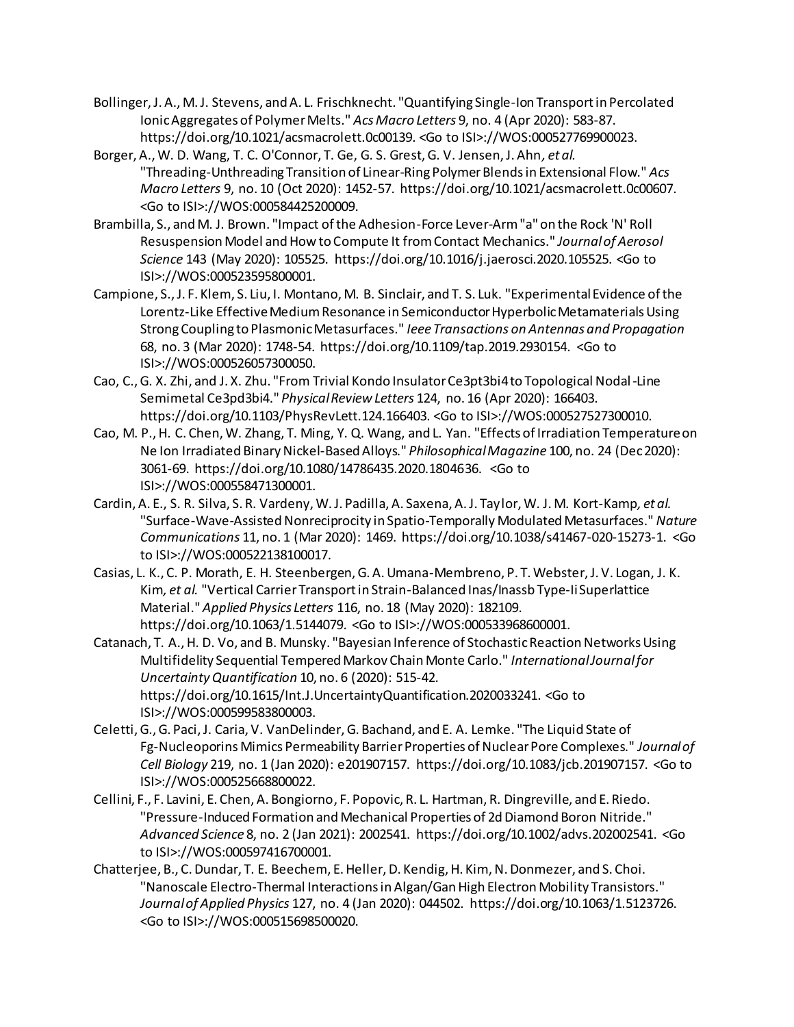- Bollinger, J. A., M. J. Stevens, and A. L. Frischknecht. "Quantifying Single-Ion Transport in Percolated Ionic Aggregates of Polymer Melts." *Acs Macro Letters* 9, no. 4 (Apr 2020): 583-87. https://doi.org/10.1021/acsmacrolett.0c00139. <Go to ISI>://WOS:000527769900023.
- Borger, A., W. D. Wang, T. C. O'Connor, T. Ge, G. S. Grest, G. V. Jensen, J. Ahn*, et al.* "Threading-Unthreading Transition of Linear-Ring Polymer Blends in Extensional Flow." *Acs Macro Letters* 9, no. 10 (Oct 2020): 1452-57. https://doi.org/10.1021/acsmacrolett.0c00607. <Go to ISI>://WOS:000584425200009.
- Brambilla, S., and M. J. Brown. "Impact of the Adhesion-Force Lever-Arm "a" on the Rock 'N' Roll Resuspension Model and How to Compute It from Contact Mechanics." *Journal of Aerosol Science* 143 (May 2020): 105525. https://doi.org/10.1016/j.jaerosci.2020.105525. <Go to ISI>://WOS:000523595800001.
- Campione, S., J. F. Klem, S. Liu, I. Montano, M. B. Sinclair, and T. S. Luk. "Experimental Evidence of the Lorentz-Like Effective Medium Resonance in Semiconductor Hyperbolic Metamaterials Using Strong Coupling to Plasmonic Metasurfaces." *Ieee Transactions on Antennas and Propagation*  68, no. 3 (Mar 2020): 1748-54. https://doi.org/10.1109/tap.2019.2930154. <Go to ISI>://WOS:000526057300050.
- Cao, C., G. X. Zhi, and J. X. Zhu. "From Trivial Kondo Insulator Ce3pt3bi4 to Topological Nodal-Line Semimetal Ce3pd3bi4." *Physical Review Letters* 124, no. 16 (Apr 2020): 166403. https://doi.org/10.1103/PhysRevLett.124.166403. <Go to ISI>://WOS:000527527300010.
- Cao, M. P., H. C. Chen, W. Zhang, T. Ming, Y. Q. Wang, and L. Yan. "Effects of Irradiation Temperature on Ne Ion Irradiated Binary Nickel-Based Alloys." *Philosophical Magazine* 100, no. 24 (Dec 2020): 3061-69. https://doi.org/10.1080/14786435.2020.1804636. <Go to ISI>://WOS:000558471300001.
- Cardin, A. E., S. R. Silva, S. R. Vardeny, W. J. Padilla, A. Saxena, A. J. Taylor, W. J. M. Kort-Kamp*, et al.* "Surface-Wave-Assisted Nonreciprocity in Spatio-Temporally Modulated Metasurfaces." *Nature Communications* 11, no. 1 (Mar 2020): 1469. https://doi.org/10.1038/s41467-020-15273-1. <Go to ISI>://WOS:000522138100017.
- Casias, L. K., C. P. Morath, E. H. Steenbergen, G. A. Umana-Membreno, P. T. Webster, J. V. Logan, J. K. Kim*, et al.* "Vertical Carrier Transport in Strain-Balanced Inas/Inassb Type-Ii Superlattice Material." *Applied Physics Letters* 116, no. 18 (May 2020): 182109. https://doi.org/10.1063/1.5144079. <Go to ISI>://WOS:000533968600001.
- Catanach, T. A., H. D. Vo, and B. Munsky. "Bayesian Inference of Stochastic Reaction Networks Using Multifidelity Sequential Tempered Markov Chain Monte Carlo." *International Journal for Uncertainty Quantification* 10, no. 6 (2020): 515-42. https://doi.org/10.1615/Int.J.UncertaintyQuantification.2020033241. <Go to ISI>://WOS:000599583800003.
- Celetti, G., G. Paci, J. Caria, V. VanDelinder, G. Bachand, and E. A. Lemke. "The Liquid State of Fg-Nucleoporins Mimics Permeability Barrier Properties of Nuclear Pore Complexes." *Journal of Cell Biology* 219, no. 1 (Jan 2020): e201907157. https://doi.org/10.1083/jcb.201907157. <Go to ISI>://WOS:000525668800022.
- Cellini, F., F. Lavini, E. Chen, A. Bongiorno, F. Popovic, R. L. Hartman, R. Dingreville, and E. Riedo. "Pressure-Induced Formation and Mechanical Properties of 2d Diamond Boron Nitride." *Advanced Science* 8, no. 2 (Jan 2021): 2002541. https://doi.org/10.1002/advs.202002541. <Go to ISI>://WOS:000597416700001.
- Chatterjee, B., C. Dundar, T. E. Beechem, E. Heller, D. Kendig, H. Kim, N. Donmezer, and S. Choi. "Nanoscale Electro-Thermal Interactions in Algan/Gan High Electron Mobility Transistors." *Journal of Applied Physics* 127, no. 4 (Jan 2020): 044502. https://doi.org/10.1063/1.5123726. <Go to ISI>://WOS:000515698500020.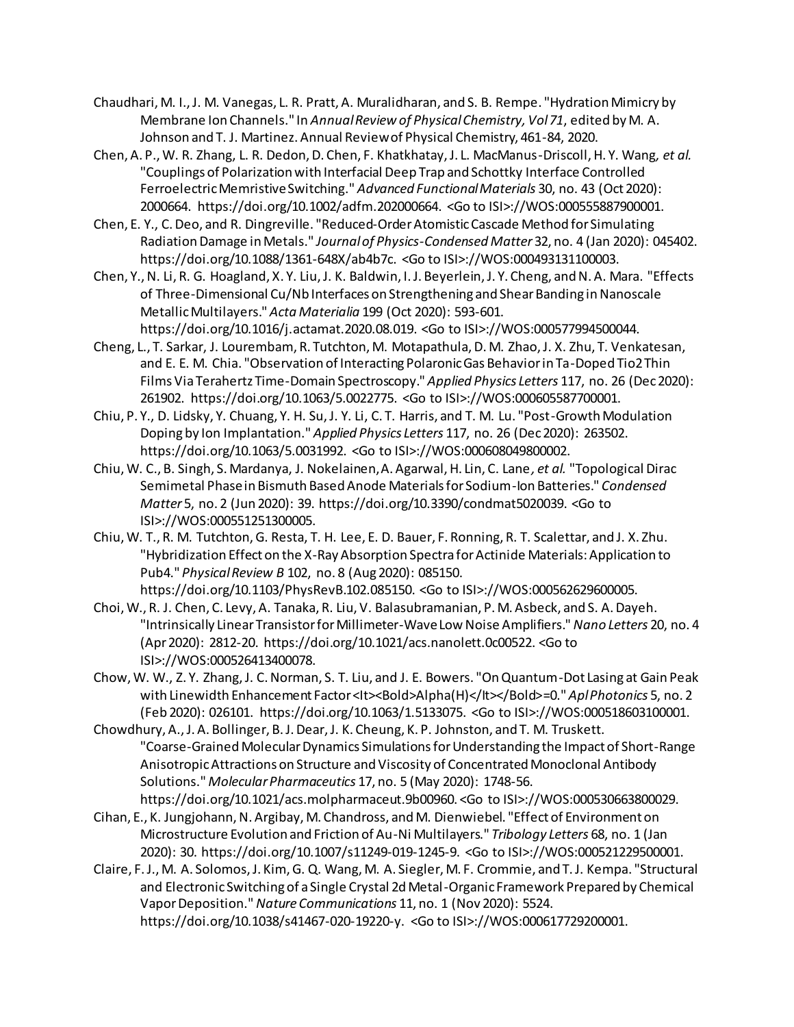- Chaudhari, M. I., J. M. Vanegas, L. R. Pratt, A. Muralidharan, and S. B. Rempe. "Hydration Mimicry by Membrane Ion Channels." In *Annual Review of Physical Chemistry, Vol 71*, edited by M. A. Johnson and T. J. Martinez. Annual Review of Physical Chemistry, 461-84, 2020.
- Chen, A. P., W. R. Zhang, L. R. Dedon, D. Chen, F. Khatkhatay, J. L. MacManus-Driscoll, H. Y. Wang*, et al.* "Couplings of Polarization with Interfacial Deep Trap and Schottky Interface Controlled Ferroelectric Memristive Switching." *Advanced Functional Materials* 30, no. 43 (Oct 2020): 2000664. https://doi.org/10.1002/adfm.202000664. <Go to ISI>://WOS:000555887900001.
- Chen, E. Y., C. Deo, and R. Dingreville. "Reduced-Order Atomistic Cascade Method for Simulating Radiation Damage in Metals." *Journal of Physics-Condensed Matter* 32, no. 4 (Jan 2020): 045402. https://doi.org/10.1088/1361-648X/ab4b7c. <Go to ISI>://WOS:000493131100003.
- Chen, Y., N. Li, R. G. Hoagland, X. Y. Liu, J. K. Baldwin, I. J. Beyerlein, J. Y. Cheng, and N. A. Mara. "Effects of Three-Dimensional Cu/Nb Interfaces on Strengthening and Shear Banding in Nanoscale Metallic Multilayers." *Acta Materialia* 199 (Oct 2020): 593-601. https://doi.org/10.1016/j.actamat.2020.08.019. <Go to ISI>://WOS:000577994500044.
- Cheng, L., T. Sarkar, J. Lourembam, R. Tutchton, M. Motapathula, D. M. Zhao, J. X. Zhu, T. Venkatesan, and E. E. M. Chia. "Observation of Interacting Polaronic Gas Behavior in Ta-Doped Tio2 Thin Films Via Terahertz Time-Domain Spectroscopy." *Applied Physics Letters* 117, no. 26 (Dec 2020): 261902. https://doi.org/10.1063/5.0022775. <Go to ISI>://WOS:000605587700001.
- Chiu, P. Y., D. Lidsky, Y. Chuang, Y. H. Su, J. Y. Li, C. T. Harris, and T. M. Lu. "Post-Growth Modulation Doping by Ion Implantation." *Applied Physics Letters* 117, no. 26 (Dec 2020): 263502. https://doi.org/10.1063/5.0031992. <Go to ISI>://WOS:000608049800002.
- Chiu, W. C., B. Singh, S. Mardanya, J. Nokelainen, A. Agarwal, H. Lin, C. Lane*, et al.* "Topological Dirac Semimetal Phase in Bismuth Based Anode Materials for Sodium-Ion Batteries." *Condensed Matter* 5, no. 2 (Jun 2020): 39. https://doi.org/10.3390/condmat5020039. <Go to ISI>://WOS:000551251300005.
- Chiu, W. T., R. M. Tutchton, G. Resta, T. H. Lee, E. D. Bauer, F. Ronning, R. T. Scalettar, and J. X. Zhu. "Hybridization Effect on the X-Ray Absorption Spectra for Actinide Materials: Application to Pub4." *Physical Review B* 102, no. 8 (Aug 2020): 085150. https://doi.org/10.1103/PhysRevB.102.085150. <Go to ISI>://WOS:000562629600005.
- Choi, W., R. J. Chen, C. Levy, A. Tanaka, R. Liu, V. Balasubramanian, P. M. Asbeck, and S. A. Dayeh. "Intrinsically Linear Transistor for Millimeter-Wave Low Noise Amplifiers." *Nano Letters* 20, no. 4 (Apr 2020): 2812-20. https://doi.org/10.1021/acs.nanolett.0c00522. <Go to ISI>://WOS:000526413400078.
- Chow, W. W., Z. Y. Zhang, J. C. Norman, S. T. Liu, and J. E. Bowers. "On Quantum-Dot Lasing at Gain Peak with Linewidth Enhancement Factor <It><Bold>Alpha(H)</It></Bold>=0." AplPhotonics 5, no. 2 (Feb 2020): 026101. https://doi.org/10.1063/1.5133075. <Go to ISI>://WOS:000518603100001.
- Chowdhury, A., J. A. Bollinger, B. J. Dear, J. K. Cheung, K. P. Johnston, and T. M. Truskett. "Coarse-Grained Molecular Dynamics Simulations for Understanding the Impact of Short-Range Anisotropic Attractions on Structure and Viscosity of Concentrated Monoclonal Antibody Solutions." *Molecular Pharmaceutics* 17, no. 5 (May 2020): 1748-56. https://doi.org/10.1021/acs.molpharmaceut.9b00960. <Go to ISI>://WOS:000530663800029.
- Cihan, E., K. Jungjohann, N. Argibay, M. Chandross, and M. Dienwiebel. "Effect of Environment on Microstructure Evolution and Friction of Au-Ni Multilayers." *Tribology Letters* 68, no. 1 (Jan 2020): 30. https://doi.org/10.1007/s11249-019-1245-9. <Go to ISI>://WOS:000521229500001.
- Claire, F. J., M. A. Solomos, J. Kim, G. Q. Wang, M. A. Siegler, M. F. Crommie, and T. J. Kempa. "Structural and Electronic Switching of a Single Crystal 2d Metal-Organic Framework Prepared by Chemical Vapor Deposition." *Nature Communications* 11, no. 1 (Nov 2020): 5524. https://doi.org/10.1038/s41467-020-19220-y. <Go to ISI>://WOS:000617729200001.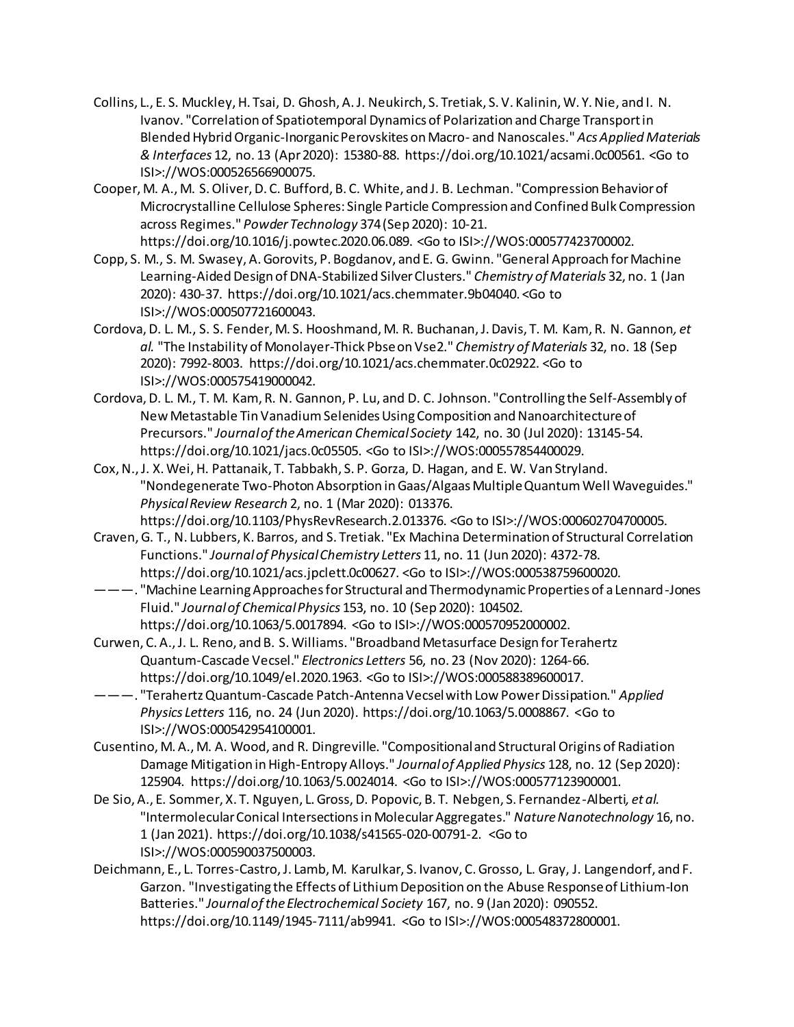- Collins, L., E. S. Muckley, H. Tsai, D. Ghosh, A. J. Neukirch, S. Tretiak, S. V. Kalinin, W. Y. Nie, and I. N. Ivanov. "Correlation of Spatiotemporal Dynamics of Polarization and Charge Transport in Blended Hybrid Organic-Inorganic Perovskites on Macro- and Nanoscales." *Acs Applied Materials & Interfaces* 12, no. 13 (Apr 2020): 15380-88. https://doi.org/10.1021/acsami.0c00561. <Go to ISI>://WOS:000526566900075.
- Cooper, M. A., M. S. Oliver, D. C. Bufford, B. C. White, and J. B. Lechman. "Compression Behavior of Microcrystalline Cellulose Spheres: Single Particle Compression and Confined Bulk Compression across Regimes." *Powder Technology* 374 (Sep 2020): 10-21. https://doi.org/10.1016/j.powtec.2020.06.089. <Go to ISI>://WOS:000577423700002.
- Copp, S. M., S. M. Swasey, A. Gorovits, P. Bogdanov, and E. G. Gwinn. "General Approach for Machine Learning-Aided Design of DNA-Stabilized Silver Clusters." *Chemistry of Materials* 32, no. 1 (Jan 2020): 430-37. https://doi.org/10.1021/acs.chemmater.9b04040. <Go to ISI>://WOS:000507721600043.
- Cordova, D. L. M., S. S. Fender, M. S. Hooshmand, M. R. Buchanan, J. Davis, T. M. Kam, R. N. Gannon*, et al.* "The Instability of Monolayer-Thick Pbse on Vse2." *Chemistry of Materials* 32, no. 18 (Sep 2020): 7992-8003. https://doi.org/10.1021/acs.chemmater.0c02922. <Go to ISI>://WOS:000575419000042.
- Cordova, D. L. M., T. M. Kam, R. N. Gannon, P. Lu, and D. C. Johnson. "Controlling the Self-Assembly of New Metastable Tin Vanadium Selenides Using Composition and Nanoarchitecture of Precursors." *Journal of the American Chemical Society* 142, no. 30 (Jul 2020): 13145-54. https://doi.org/10.1021/jacs.0c05505. <Go to ISI>://WOS:000557854400029.
- Cox, N., J. X. Wei, H. Pattanaik, T. Tabbakh, S. P. Gorza, D. Hagan, and E. W. Van Stryland. "Nondegenerate Two-Photon Absorption in Gaas/Algaas Multiple Quantum Well Waveguides." *Physical Review Research* 2, no. 1 (Mar 2020): 013376. https://doi.org/10.1103/PhysRevResearch.2.013376. <Go to ISI>://WOS:000602704700005.
- Craven, G. T., N. Lubbers, K. Barros, and S. Tretiak. "Ex Machina Determination of Structural Correlation Functions." *Journal of Physical Chemistry Letters* 11, no. 11 (Jun 2020): 4372-78. https://doi.org/10.1021/acs.jpclett.0c00627. <Go to ISI>://WOS:000538759600020.
- ———. "Machine Learning Approaches for Structural and Thermodynamic Properties of a Lennard-Jones Fluid." *Journal of Chemical Physics* 153, no. 10 (Sep 2020): 104502. https://doi.org/10.1063/5.0017894. <Go to ISI>://WOS:000570952000002.
- Curwen, C. A., J. L. Reno, and B. S. Williams. "Broadband Metasurface Design for Terahertz Quantum-Cascade Vecsel." *Electronics Letters* 56, no. 23 (Nov 2020): 1264-66. https://doi.org/10.1049/el.2020.1963. <Go to ISI>://WOS:000588389600017.
- ———. "Terahertz Quantum-Cascade Patch-Antenna Vecsel with Low Power Dissipation." *Applied Physics Letters* 116, no. 24 (Jun 2020). https://doi.org/10.1063/5.0008867. <Go to ISI>://WOS:000542954100001.
- Cusentino, M. A., M. A. Wood, and R. Dingreville. "Compositional and Structural Origins of Radiation Damage Mitigation in High-Entropy Alloys." *Journal of Applied Physics* 128, no. 12 (Sep 2020): 125904. https://doi.org/10.1063/5.0024014. <Go to ISI>://WOS:000577123900001.
- De Sio, A., E. Sommer, X. T. Nguyen, L. Gross, D. Popovic, B. T. Nebgen, S. Fernandez-Alberti*, et al.* "Intermolecular Conical Intersections in Molecular Aggregates." *Nature Nanotechnology* 16, no. 1 (Jan 2021). https://doi.org/10.1038/s41565-020-00791-2. <Go to ISI>://WOS:000590037500003.
- Deichmann, E., L. Torres-Castro, J. Lamb, M. Karulkar, S. Ivanov, C. Grosso, L. Gray, J. Langendorf, and F. Garzon. "Investigating the Effects of Lithium Deposition on the Abuse Response of Lithium-Ion Batteries." *Journal of the Electrochemical Society* 167, no. 9 (Jan 2020): 090552. https://doi.org/10.1149/1945-7111/ab9941. <Go to ISI>://WOS:000548372800001.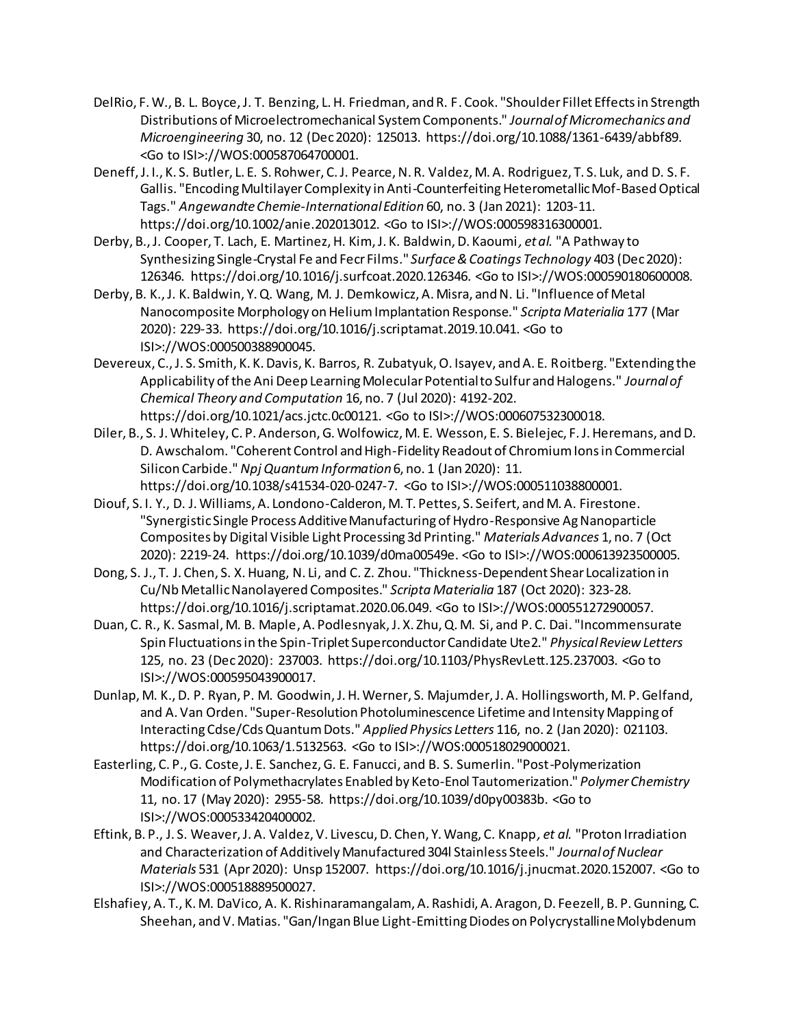- DelRio, F. W., B. L. Boyce, J. T. Benzing, L. H. Friedman, and R. F. Cook. "Shoulder Fillet Effects in Strength Distributions of Microelectromechanical System Components." *Journal of Micromechanics and Microengineering* 30, no. 12 (Dec 2020): 125013. https://doi.org/10.1088/1361-6439/abbf89. <Go to ISI>://WOS:000587064700001.
- Deneff, J. I., K. S. Butler, L. E. S. Rohwer, C. J. Pearce, N. R. Valdez, M. A. Rodriguez, T. S. Luk, and D. S. F. Gallis. "Encoding Multilayer Complexity in Anti-Counterfeiting Heterometallic Mof-Based Optical Tags." *Angewandte Chemie-International Edition* 60, no. 3 (Jan 2021): 1203-11. https://doi.org/10.1002/anie.202013012. <Go to ISI>://WOS:000598316300001.
- Derby, B., J. Cooper, T. Lach, E. Martinez, H. Kim, J. K. Baldwin, D. Kaoumi*, et al.* "A Pathway to Synthesizing Single-Crystal Fe and Fecr Films." *Surface & Coatings Technology* 403 (Dec 2020): 126346. https://doi.org/10.1016/j.surfcoat.2020.126346. <Go to ISI>://WOS:000590180600008.
- Derby, B. K., J. K. Baldwin, Y. Q. Wang, M. J. Demkowicz, A. Misra, and N. Li. "Influence of Metal Nanocomposite Morphology on Helium Implantation Response." *Scripta Materialia* 177 (Mar 2020): 229-33. https://doi.org/10.1016/j.scriptamat.2019.10.041. <Go to ISI>://WOS:000500388900045.
- Devereux, C., J. S. Smith, K. K. Davis, K. Barros, R. Zubatyuk, O. Isayev, and A. E. Roitberg. "Extending the Applicability of the Ani Deep Learning Molecular Potential to Sulfur and Halogens." *Journal of Chemical Theory and Computation* 16, no. 7 (Jul 2020): 4192-202. https://doi.org/10.1021/acs.jctc.0c00121. <Go to ISI>://WOS:000607532300018.
- Diler, B., S. J. Whiteley, C. P. Anderson, G. Wolfowicz, M. E. Wesson, E. S. Bielejec, F. J. Heremans, and D. D. Awschalom. "Coherent Control and High-Fidelity Readout of Chromium Ions in Commercial Silicon Carbide." *Npj Quantum Information* 6, no. 1 (Jan 2020): 11. https://doi.org/10.1038/s41534-020-0247-7. <Go to ISI>://WOS:000511038800001.
- Diouf, S. I. Y., D. J. Williams, A. Londono-Calderon, M. T. Pettes, S. Seifert, and M. A. Firestone. "Synergistic Single Process Additive Manufacturing of Hydro-Responsive Ag Nanoparticle Composites by Digital Visible Light Processing 3d Printing." *Materials Advances* 1, no. 7 (Oct 2020): 2219-24. https://doi.org/10.1039/d0ma00549e. <Go to ISI>://WOS:000613923500005.
- Dong, S. J., T. J. Chen, S. X. Huang, N. Li, and C. Z. Zhou. "Thickness-Dependent Shear Localization in Cu/Nb Metallic Nanolayered Composites." *Scripta Materialia* 187 (Oct 2020): 323-28. https://doi.org/10.1016/j.scriptamat.2020.06.049. <Go to ISI>://WOS:000551272900057.
- Duan, C. R., K. Sasmal, M. B. Maple, A. Podlesnyak, J. X. Zhu, Q. M. Si, and P. C. Dai. "Incommensurate Spin Fluctuations in the Spin-Triplet Superconductor Candidate Ute2." *Physical Review Letters*  125, no. 23 (Dec 2020): 237003. https://doi.org/10.1103/PhysRevLett.125.237003. <Go to ISI>://WOS:000595043900017.
- Dunlap, M. K., D. P. Ryan, P. M. Goodwin, J. H. Werner, S. Majumder, J. A. Hollingsworth, M. P. Gelfand, and A. Van Orden. "Super-Resolution Photoluminescence Lifetime and Intensity Mapping of Interacting Cdse/Cds Quantum Dots." *Applied Physics Letters* 116, no. 2 (Jan 2020): 021103. https://doi.org/10.1063/1.5132563. <Go to ISI>://WOS:000518029000021.
- Easterling, C. P., G. Coste, J. E. Sanchez, G. E. Fanucci, and B. S. Sumerlin. "Post-Polymerization Modification of Polymethacrylates Enabled by Keto-Enol Tautomerization." *Polymer Chemistry*  11, no. 17 (May 2020): 2955-58. https://doi.org/10.1039/d0py00383b. <Go to ISI>://WOS:000533420400002.
- Eftink, B. P., J. S. Weaver, J. A. Valdez, V. Livescu, D. Chen, Y. Wang, C. Knapp*, et al.* "Proton Irradiation and Characterization of Additively Manufactured 304l Stainless Steels." *Journal of Nuclear Materials* 531 (Apr 2020): Unsp 152007. https://doi.org/10.1016/j.jnucmat.2020.152007. <Go to ISI>://WOS:000518889500027.
- Elshafiey, A. T., K. M. DaVico, A. K. Rishinaramangalam, A. Rashidi, A. Aragon, D. Feezell, B. P. Gunning, C. Sheehan, and V. Matias. "Gan/Ingan Blue Light-Emitting Diodes on Polycrystalline Molybdenum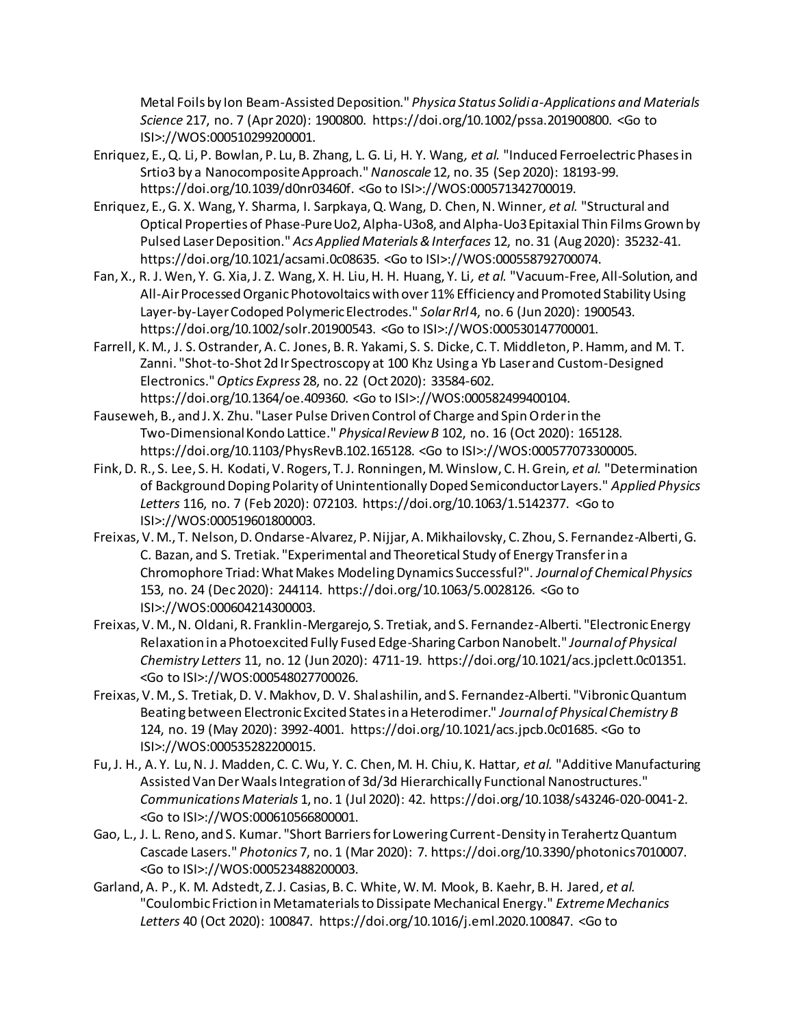Metal Foils by Ion Beam-Assisted Deposition." *Physica Status Solidi a-Applications and Materials Science* 217, no. 7 (Apr 2020): 1900800. https://doi.org/10.1002/pssa.201900800. <Go to ISI>://WOS:000510299200001.

- Enriquez, E., Q. Li, P. Bowlan, P. Lu, B. Zhang, L. G. Li, H. Y. Wang*, et al.* "Induced Ferroelectric Phases in Srtio3 by a Nanocomposite Approach." *Nanoscale* 12, no. 35 (Sep 2020): 18193-99. https://doi.org/10.1039/d0nr03460f. <Go to ISI>://WOS:000571342700019.
- Enriquez, E., G. X. Wang, Y. Sharma, I. Sarpkaya, Q. Wang, D. Chen, N. Winner*, et al.* "Structural and Optical Properties of Phase-Pure Uo2, Alpha-U3o8, and Alpha-Uo3 Epitaxial Thin Films Grown by Pulsed Laser Deposition." *Acs Applied Materials & Interfaces* 12, no. 31 (Aug 2020): 35232-41. https://doi.org/10.1021/acsami.0c08635. <Go to ISI>://WOS:000558792700074.
- Fan, X., R. J. Wen, Y. G. Xia, J. Z. Wang, X. H. Liu, H. H. Huang, Y. Li*, et al.* "Vacuum-Free, All-Solution, and All-Air Processed Organic Photovoltaics with over 11% Efficiency and Promoted Stability Using Layer-by-Layer Codoped Polymeric Electrodes." *Solar Rrl* 4, no. 6 (Jun 2020): 1900543. https://doi.org/10.1002/solr.201900543. <Go to ISI>://WOS:000530147700001.
- Farrell, K. M., J. S. Ostrander, A. C. Jones, B. R. Yakami, S. S. Dicke, C. T. Middleton, P. Hamm, and M. T. Zanni. "Shot-to-Shot 2d Ir Spectroscopy at 100 Khz Using a Yb Laser and Custom-Designed Electronics." *Optics Express* 28, no. 22 (Oct 2020): 33584-602. https://doi.org/10.1364/oe.409360. <Go to ISI>://WOS:000582499400104.
- Fauseweh, B., and J. X. Zhu. "Laser Pulse Driven Control of Charge and Spin Order in the Two-Dimensional Kondo Lattice." *Physical Review B* 102, no. 16 (Oct 2020): 165128. https://doi.org/10.1103/PhysRevB.102.165128. <Go to ISI>://WOS:000577073300005.
- Fink, D. R., S. Lee, S. H. Kodati, V. Rogers, T. J. Ronningen, M. Winslow, C. H. Grein*, et al.* "Determination of Background Doping Polarity of Unintentionally Doped Semiconductor Layers." *Applied Physics Letters* 116, no. 7 (Feb 2020): 072103. https://doi.org/10.1063/1.5142377. <Go to ISI>://WOS:000519601800003.
- Freixas, V. M., T. Nelson, D. Ondarse-Alvarez, P. Nijjar, A. Mikhailovsky, C. Zhou, S. Fernandez-Alberti, G. C. Bazan, and S. Tretiak. "Experimental and Theoretical Study of Energy Transfer in a Chromophore Triad: What Makes Modeling Dynamics Successful?". *Journal of Chemical Physics*  153, no. 24 (Dec 2020): 244114. https://doi.org/10.1063/5.0028126. <Go to ISI>://WOS:000604214300003.
- Freixas, V. M., N. Oldani, R. Franklin-Mergarejo, S. Tretiak, and S. Fernandez-Alberti. "Electronic Energy Relaxation in a Photoexcited Fully Fused Edge-Sharing Carbon Nanobelt." *Journal of Physical Chemistry Letters* 11, no. 12 (Jun 2020): 4711-19. https://doi.org/10.1021/acs.jpclett.0c01351. <Go to ISI>://WOS:000548027700026.
- Freixas, V. M., S. Tretiak, D. V. Makhov, D. V. Shalashilin, and S. Fernandez-Alberti. "Vibronic Quantum Beating between Electronic Excited States in a Heterodimer." *Journal of Physical Chemistry B*  124, no. 19 (May 2020): 3992-4001. https://doi.org/10.1021/acs.jpcb.0c01685. <Go to ISI>://WOS:000535282200015.
- Fu, J. H., A. Y. Lu, N. J. Madden, C. C. Wu, Y. C. Chen, M. H. Chiu, K. Hattar*, et al.* "Additive Manufacturing Assisted Van Der Waals Integration of 3d/3d Hierarchically Functional Nanostructures." *Communications Materials* 1, no. 1 (Jul 2020): 42. https://doi.org/10.1038/s43246-020-0041-2. <Go to ISI>://WOS:000610566800001.
- Gao, L., J. L. Reno, and S. Kumar. "Short Barriers for Lowering Current-Density in Terahertz Quantum Cascade Lasers." *Photonics* 7, no. 1 (Mar 2020): 7. https://doi.org/10.3390/photonics7010007. <Go to ISI>://WOS:000523488200003.
- Garland, A. P., K. M. Adstedt, Z. J. Casias, B. C. White, W. M. Mook, B. Kaehr, B. H. Jared*, et al.* "Coulombic Friction in Metamaterials to Dissipate Mechanical Energy." *Extreme Mechanics Letters* 40 (Oct 2020): 100847. https://doi.org/10.1016/j.eml.2020.100847. <Go to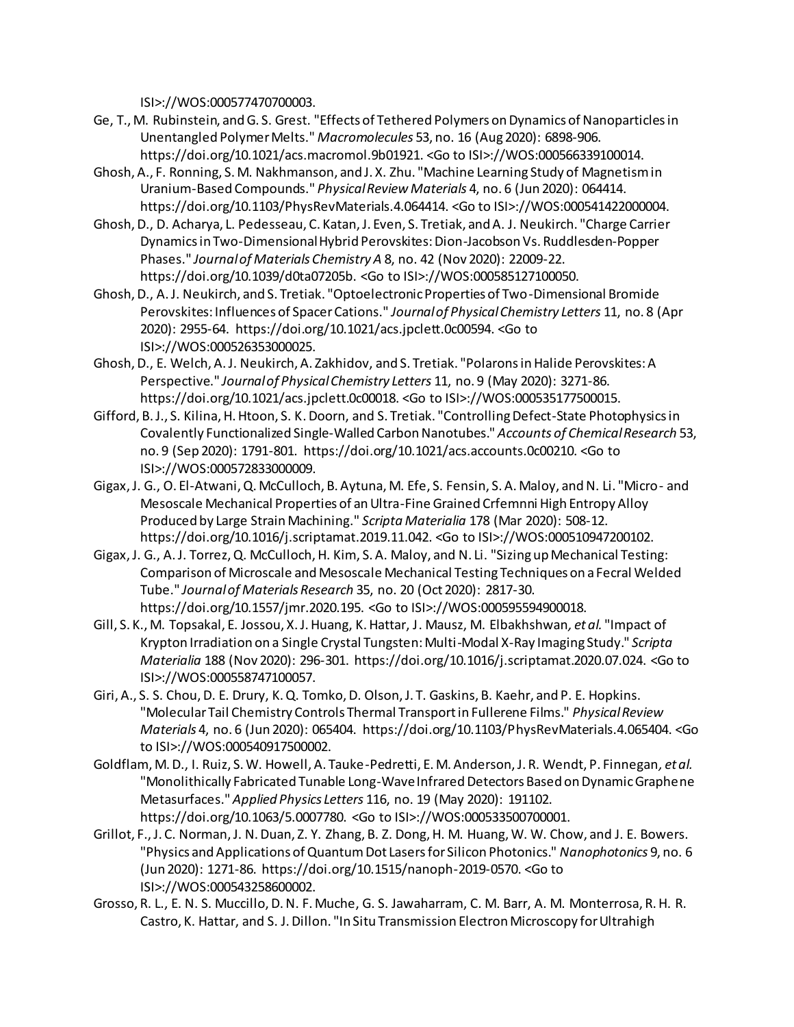ISI>://WOS:000577470700003.

- Ge, T., M. Rubinstein, and G. S. Grest. "Effects of Tethered Polymers on Dynamics of Nanoparticles in Unentangled Polymer Melts." *Macromolecules* 53, no. 16 (Aug 2020): 6898-906. https://doi.org/10.1021/acs.macromol.9b01921. <Go to ISI>://WOS:000566339100014.
- Ghosh, A., F. Ronning, S. M. Nakhmanson, and J. X. Zhu. "Machine Learning Study of Magnetism in Uranium-Based Compounds." *Physical Review Materials* 4, no. 6 (Jun 2020): 064414. https://doi.org/10.1103/PhysRevMaterials.4.064414. <Go to ISI>://WOS:000541422000004.
- Ghosh, D., D. Acharya, L. Pedesseau, C. Katan, J. Even, S. Tretiak, and A. J. Neukirch. "Charge Carrier Dynamics in Two-Dimensional Hybrid Perovskites: Dion-Jacobson Vs. Ruddlesden-Popper Phases." *Journal of Materials Chemistry A* 8, no. 42 (Nov 2020): 22009-22. https://doi.org/10.1039/d0ta07205b. <Go to ISI>://WOS:000585127100050.
- Ghosh, D., A. J. Neukirch, and S. Tretiak. "Optoelectronic Properties of Two-Dimensional Bromide Perovskites: Influences of Spacer Cations." *Journal of Physical Chemistry Letters* 11, no. 8 (Apr 2020): 2955-64. https://doi.org/10.1021/acs.jpclett.0c00594. <Go to ISI>://WOS:000526353000025.
- Ghosh, D., E. Welch, A. J. Neukirch, A. Zakhidov, and S. Tretiak. "Polarons in Halide Perovskites: A Perspective." *Journal of Physical Chemistry Letters* 11, no. 9 (May 2020): 3271-86. https://doi.org/10.1021/acs.jpclett.0c00018. <Go to ISI>://WOS:000535177500015.
- Gifford, B. J., S. Kilina, H. Htoon, S. K. Doorn, and S. Tretiak. "Controlling Defect-State Photophysics in Covalently Functionalized Single-Walled Carbon Nanotubes." *Accounts of Chemical Research* 53, no. 9 (Sep 2020): 1791-801. https://doi.org/10.1021/acs.accounts.0c00210. <Go to ISI>://WOS:000572833000009.
- Gigax, J. G., O. El-Atwani, Q. McCulloch, B. Aytuna, M. Efe, S. Fensin, S. A. Maloy, and N. Li. "Micro- and Mesoscale Mechanical Properties of an Ultra-Fine Grained Crfemnni High Entropy Alloy Produced by Large Strain Machining." *Scripta Materialia* 178 (Mar 2020): 508-12. https://doi.org/10.1016/j.scriptamat.2019.11.042. <Go to ISI>://WOS:000510947200102.
- Gigax, J. G., A. J. Torrez, Q. McCulloch, H. Kim, S. A. Maloy, and N. Li. "Sizing up Mechanical Testing: Comparison of Microscale and Mesoscale Mechanical Testing Techniques on a Fecral Welded Tube." *Journal of Materials Research* 35, no. 20 (Oct 2020): 2817-30. https://doi.org/10.1557/jmr.2020.195. <Go to ISI>://WOS:000595594900018.
- Gill, S. K., M. Topsakal, E. Jossou, X. J. Huang, K. Hattar, J. Mausz, M. Elbakhshwan*, et al.* "Impact of Krypton Irradiation on a Single Crystal Tungsten: Multi-Modal X-Ray Imaging Study." *Scripta Materialia* 188 (Nov 2020): 296-301. https://doi.org/10.1016/j.scriptamat.2020.07.024. <Go to ISI>://WOS:000558747100057.
- Giri, A., S. S. Chou, D. E. Drury, K. Q. Tomko, D. Olson, J. T. Gaskins, B. Kaehr, and P. E. Hopkins. "Molecular Tail Chemistry Controls Thermal Transport in Fullerene Films." *Physical Review Materials* 4, no. 6 (Jun 2020): 065404. https://doi.org/10.1103/PhysRevMaterials.4.065404. <Go to ISI>://WOS:000540917500002.
- Goldflam, M. D., I. Ruiz, S. W. Howell, A. Tauke-Pedretti, E. M. Anderson, J. R. Wendt, P. Finnegan*, et al.* "Monolithically Fabricated Tunable Long-Wave Infrared Detectors Based on Dynamic Graphene Metasurfaces." *Applied Physics Letters* 116, no. 19 (May 2020): 191102. https://doi.org/10.1063/5.0007780. <Go to ISI>://WOS:000533500700001.
- Grillot, F., J. C. Norman, J. N. Duan, Z. Y. Zhang, B. Z. Dong, H. M. Huang, W. W. Chow, and J. E. Bowers. "Physics and Applications of Quantum Dot Lasers for Silicon Photonics." *Nanophotonics* 9, no. 6 (Jun 2020): 1271-86. https://doi.org/10.1515/nanoph-2019-0570. <Go to ISI>://WOS:000543258600002.
- Grosso, R. L., E. N. S. Muccillo, D. N. F. Muche, G. S. Jawaharram, C. M. Barr, A. M. Monterrosa, R. H. R. Castro, K. Hattar, and S. J. Dillon. "In Situ Transmission Electron Microscopy for Ultrahigh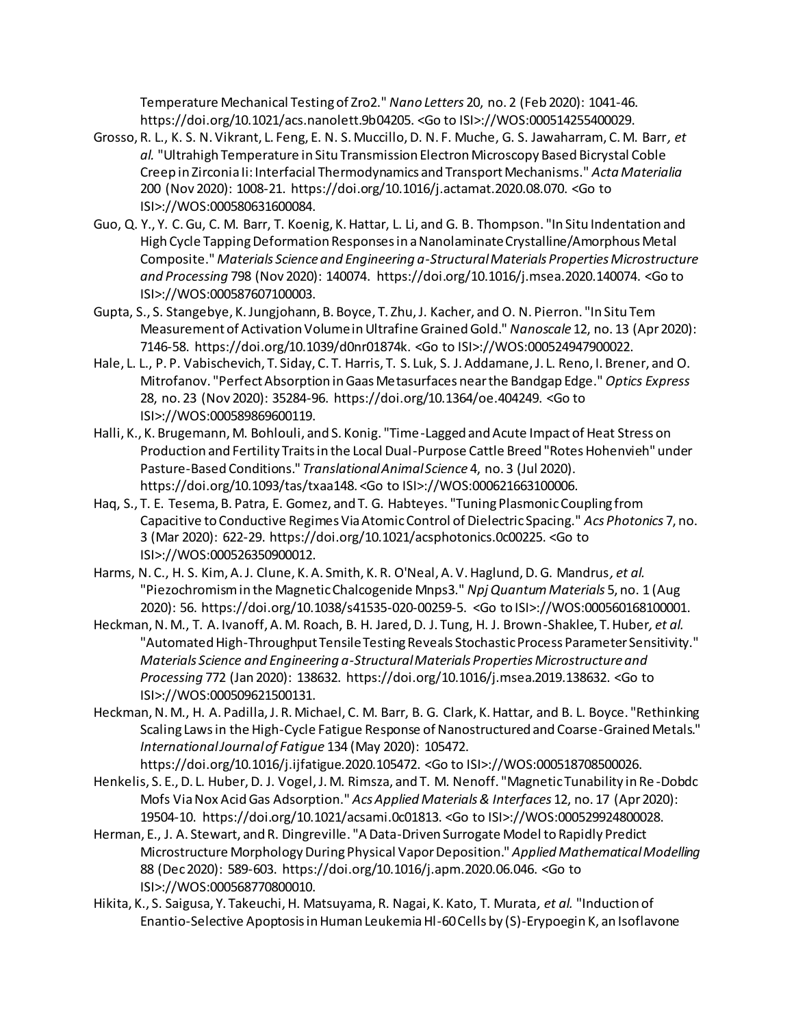Temperature Mechanical Testing of Zro2." *Nano Letters* 20, no. 2 (Feb 2020): 1041-46. https://doi.org/10.1021/acs.nanolett.9b04205. <Go to ISI>://WOS:000514255400029.

- Grosso, R. L., K. S. N. Vikrant, L. Feng, E. N. S. Muccillo, D. N. F. Muche, G. S. Jawaharram, C. M. Barr*, et al.* "Ultrahigh Temperature in Situ Transmission Electron Microscopy Based Bicrystal Coble Creep in Zirconia Ii: Interfacial Thermodynamics and Transport Mechanisms." *Acta Materialia*  200 (Nov 2020): 1008-21. https://doi.org/10.1016/j.actamat.2020.08.070. <Go to ISI>://WOS:000580631600084.
- Guo, Q. Y., Y. C. Gu, C. M. Barr, T. Koenig, K. Hattar, L. Li, and G. B. Thompson. "In Situ Indentation and High Cycle Tapping Deformation Responses in a Nanolaminate Crystalline/Amorphous Metal Composite." *Materials Science and Engineering a-Structural Materials Properties Microstructure and Processing* 798 (Nov 2020): 140074. https://doi.org/10.1016/j.msea.2020.140074. <Go to ISI>://WOS:000587607100003.
- Gupta, S., S. Stangebye, K. Jungjohann, B. Boyce, T. Zhu, J. Kacher, and O. N. Pierron. "In Situ Tem Measurement of Activation Volume in Ultrafine Grained Gold." *Nanoscale* 12, no. 13 (Apr 2020): 7146-58. https://doi.org/10.1039/d0nr01874k. <Go to ISI>://WOS:000524947900022.
- Hale, L. L., P. P. Vabischevich, T. Siday, C. T. Harris, T. S. Luk, S. J. Addamane, J. L. Reno, I. Brener, and O. Mitrofanov. "Perfect Absorption in Gaas Metasurfaces near the Bandgap Edge." *Optics Express*  28, no. 23 (Nov 2020): 35284-96. https://doi.org/10.1364/oe.404249. <Go to ISI>://WOS:000589869600119.
- Halli, K., K. Brugemann, M. Bohlouli, and S. Konig. "Time-Lagged and Acute Impact of Heat Stress on Production and Fertility Traits in the Local Dual-Purpose Cattle Breed "Rotes Hohenvieh" under Pasture-Based Conditions." *Translational Animal Science* 4, no. 3 (Jul 2020). https://doi.org/10.1093/tas/txaa148. <Go to ISI>://WOS:000621663100006.
- Haq, S., T. E. Tesema, B. Patra, E. Gomez, and T. G. Habteyes. "Tuning Plasmonic Coupling from Capacitive to Conductive Regimes Via Atomic Control of Dielectric Spacing." *Acs Photonics* 7, no. 3 (Mar 2020): 622-29. https://doi.org/10.1021/acsphotonics.0c00225. <Go to ISI>://WOS:000526350900012.
- Harms, N. C., H. S. Kim, A. J. Clune, K. A. Smith, K. R. O'Neal, A. V. Haglund, D. G. Mandrus*, et al.* "Piezochromism in the Magnetic Chalcogenide Mnps3." *Npj Quantum Materials* 5, no. 1 (Aug 2020): 56. https://doi.org/10.1038/s41535-020-00259-5. <Go to ISI>://WOS:000560168100001.
- Heckman, N. M., T. A. Ivanoff, A. M. Roach, B. H. Jared, D. J. Tung, H. J. Brown-Shaklee, T. Huber*, et al.* "Automated High-Throughput Tensile Testing Reveals Stochastic Process Parameter Sensitivity." *Materials Science and Engineering a-Structural Materials Properties Microstructure and Processing* 772 (Jan 2020): 138632. https://doi.org/10.1016/j.msea.2019.138632. <Go to ISI>://WOS:000509621500131.
- Heckman, N. M., H. A. Padilla, J. R. Michael, C. M. Barr, B. G. Clark, K. Hattar, and B. L. Boyce. "Rethinking Scaling Laws in the High-Cycle Fatigue Response of Nanostructured and Coarse-Grained Metals." *International Journal of Fatigue* 134 (May 2020): 105472.

https://doi.org/10.1016/j.ijfatigue.2020.105472. <Go to ISI>://WOS:000518708500026.

- Henkelis, S. E., D. L. Huber, D. J. Vogel, J. M. Rimsza, and T. M. Nenoff. "Magnetic Tunability in Re -Dobdc Mofs Via Nox Acid Gas Adsorption." *Acs Applied Materials & Interfaces* 12, no. 17 (Apr 2020): 19504-10. https://doi.org/10.1021/acsami.0c01813. <Go to ISI>://WOS:000529924800028.
- Herman, E., J. A. Stewart, and R. Dingreville. "A Data-Driven Surrogate Model to Rapidly Predict Microstructure Morphology During Physical Vapor Deposition." *Applied Mathematical Modelling*  88 (Dec 2020): 589-603. https://doi.org/10.1016/j.apm.2020.06.046. <Go to ISI>://WOS:000568770800010.
- Hikita, K., S. Saigusa, Y. Takeuchi, H. Matsuyama, R. Nagai, K. Kato, T. Murata*, et al.* "Induction of Enantio-Selective Apoptosis in Human Leukemia Hl-60 Cells by (S)-Erypoegin K, an Isoflavone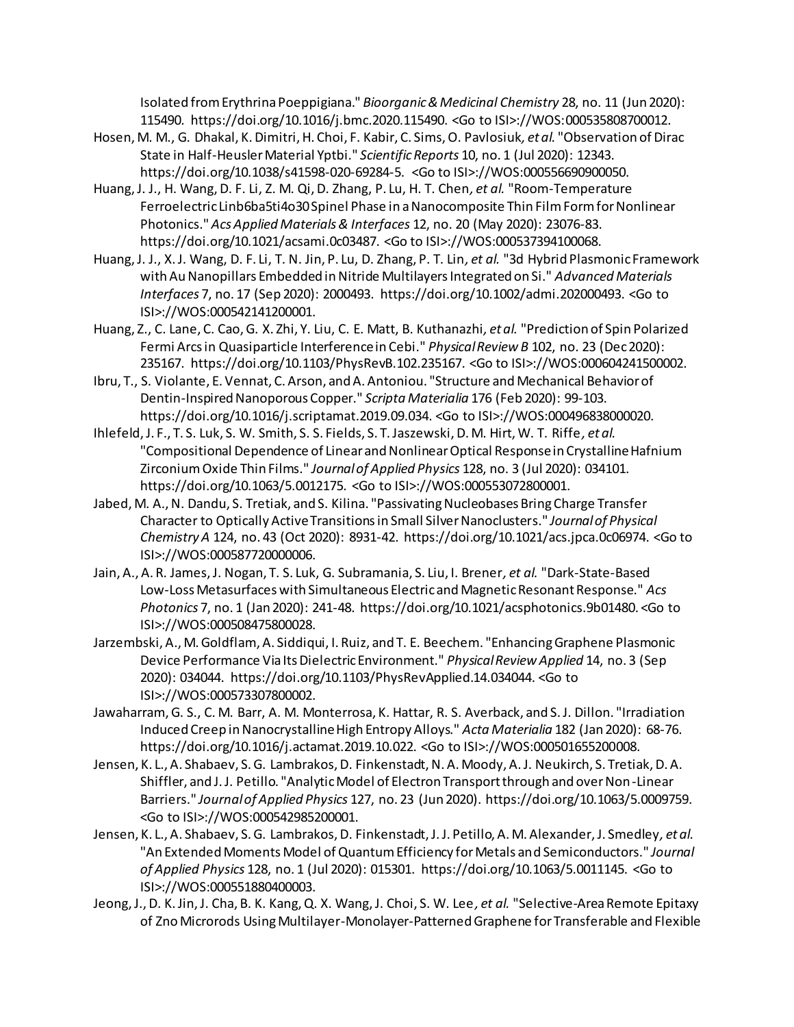Isolated from Erythrina Poeppigiana." *Bioorganic & Medicinal Chemistry* 28, no. 11 (Jun 2020): 115490. https://doi.org/10.1016/j.bmc.2020.115490. <Go to ISI>://WOS:000535808700012.

- Hosen, M. M., G. Dhakal, K. Dimitri, H. Choi, F. Kabir, C. Sims, O. Pavlosiuk*, et al.* "Observation of Dirac State in Half-Heusler Material Yptbi." *Scientific Reports* 10, no. 1 (Jul 2020): 12343. https://doi.org/10.1038/s41598-020-69284-5. <Go to ISI>://WOS:000556690900050.
- Huang, J. J., H. Wang, D. F. Li, Z. M. Qi, D. Zhang, P. Lu, H. T. Chen*, et al.* "Room-Temperature Ferroelectric Linb6ba5ti4o30 Spinel Phase in a Nanocomposite Thin Film Form for Nonlinear Photonics." *Acs Applied Materials & Interfaces* 12, no. 20 (May 2020): 23076-83. https://doi.org/10.1021/acsami.0c03487. <Go to ISI>://WOS:000537394100068.
- Huang, J. J., X. J. Wang, D. F. Li, T. N. Jin, P. Lu, D. Zhang, P. T. Lin*, et al.* "3d Hybrid Plasmonic Framework with Au Nanopillars Embedded in Nitride Multilayers Integrated on Si." *Advanced Materials Interfaces* 7, no. 17 (Sep 2020): 2000493. https://doi.org/10.1002/admi.202000493. <Go to ISI>://WOS:000542141200001.
- Huang, Z., C. Lane, C. Cao, G. X. Zhi, Y. Liu, C. E. Matt, B. Kuthanazhi*, et al.* "Prediction of Spin Polarized Fermi Arcs in Quasiparticle Interference in Cebi." *Physical Review B* 102, no. 23 (Dec 2020): 235167. https://doi.org/10.1103/PhysRevB.102.235167. <Go to ISI>://WOS:000604241500002.
- Ibru, T., S. Violante, E. Vennat, C. Arson, and A. Antoniou. "Structure and Mechanical Behavior of Dentin-Inspired Nanoporous Copper." *Scripta Materialia* 176 (Feb 2020): 99-103. https://doi.org/10.1016/j.scriptamat.2019.09.034. <Go to ISI>://WOS:000496838000020.
- Ihlefeld, J. F., T. S. Luk, S. W. Smith, S. S. Fields, S. T. Jaszewski, D. M. Hirt, W. T. Riffe*, et al.* "Compositional Dependence of Linear and Nonlinear Optical Response in Crystalline Hafnium Zirconium Oxide Thin Films." *Journal of Applied Physics* 128, no. 3 (Jul 2020): 034101. https://doi.org/10.1063/5.0012175. <Go to ISI>://WOS:000553072800001.
- Jabed, M. A., N. Dandu, S. Tretiak, and S. Kilina. "Passivating Nucleobases Bring Charge Transfer Character to Optically Active Transitions in Small Silver Nanoclusters." *Journal of Physical Chemistry A* 124, no. 43 (Oct 2020): 8931-42. https://doi.org/10.1021/acs.jpca.0c06974. <Go to ISI>://WOS:000587720000006.
- Jain, A., A. R. James, J. Nogan, T. S. Luk, G. Subramania, S. Liu, I. Brener*, et al.* "Dark-State-Based Low-Loss Metasurfaces with Simultaneous Electric and Magnetic Resonant Response." *Acs Photonics* 7, no. 1 (Jan 2020): 241-48. https://doi.org/10.1021/acsphotonics.9b01480. <Go to ISI>://WOS:000508475800028.
- Jarzembski, A., M. Goldflam, A. Siddiqui, I. Ruiz, and T. E. Beechem. "Enhancing Graphene Plasmonic Device Performance Via Its Dielectric Environment." *Physical Review Applied* 14, no. 3 (Sep 2020): 034044. https://doi.org/10.1103/PhysRevApplied.14.034044. <Go to ISI>://WOS:000573307800002.
- Jawaharram, G. S., C. M. Barr, A. M. Monterrosa, K. Hattar, R. S. Averback, and S. J. Dillon. "Irradiation Induced Creep in Nanocrystalline High Entropy Alloys." *Acta Materialia* 182 (Jan 2020): 68-76. https://doi.org/10.1016/j.actamat.2019.10.022. <Go to ISI>://WOS:000501655200008.
- Jensen, K. L., A. Shabaev, S. G. Lambrakos, D. Finkenstadt, N. A. Moody, A. J. Neukirch, S. Tretiak, D. A. Shiffler, and J. J. Petillo. "Analytic Model of Electron Transport through and over Non-Linear Barriers." *Journal of Applied Physics* 127, no. 23 (Jun 2020). https://doi.org/10.1063/5.0009759. <Go to ISI>://WOS:000542985200001.
- Jensen, K. L., A. Shabaev, S. G. Lambrakos, D. Finkenstadt, J. J. Petillo, A. M. Alexander, J. Smedley*, et al.* "An Extended Moments Model of Quantum Efficiency for Metals and Semiconductors." *Journal of Applied Physics* 128, no. 1 (Jul 2020): 015301. https://doi.org/10.1063/5.0011145. <Go to ISI>://WOS:000551880400003.
- Jeong, J., D. K. Jin, J. Cha, B. K. Kang, Q. X. Wang, J. Choi, S. W. Lee*, et al.* "Selective-Area Remote Epitaxy of Zno Microrods Using Multilayer-Monolayer-Patterned Graphene for Transferable and Flexible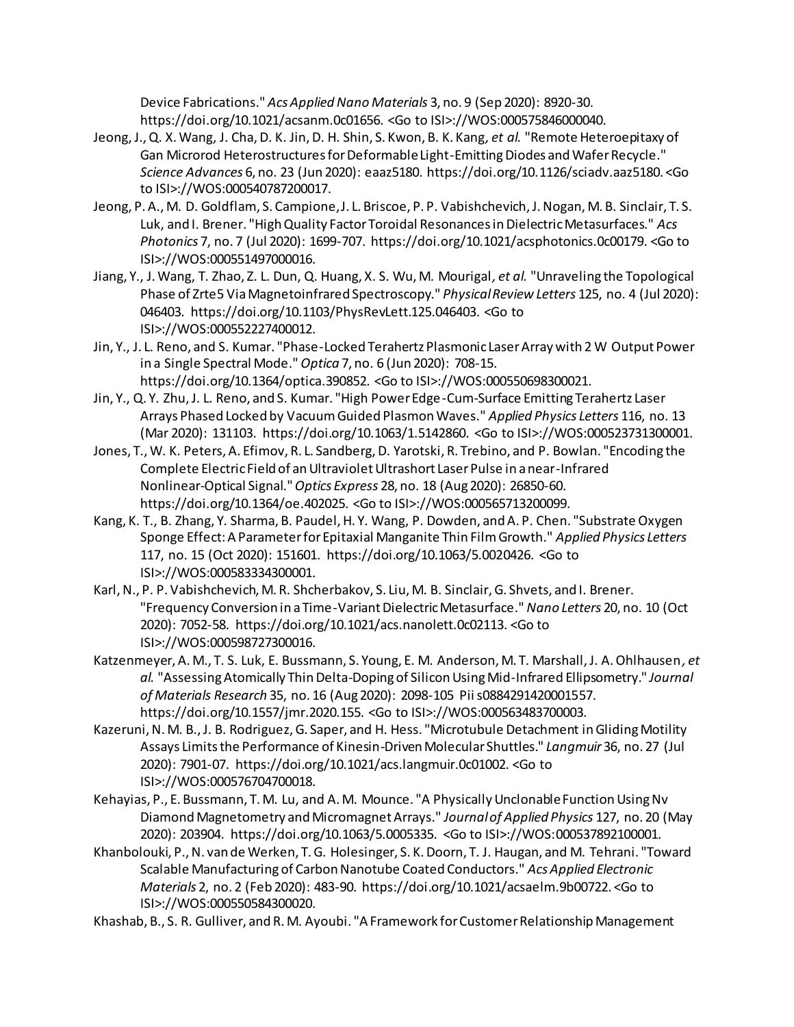Device Fabrications." *Acs Applied Nano Materials* 3, no. 9 (Sep 2020): 8920-30. https://doi.org/10.1021/acsanm.0c01656. <Go to ISI>://WOS:000575846000040.

- Jeong,J., Q. X. Wang, J. Cha, D. K. Jin, D. H. Shin, S. Kwon, B. K. Kang*, et al.* "Remote Heteroepitaxy of Gan Microrod Heterostructures for Deformable Light-Emitting Diodes and Wafer Recycle." *Science Advances* 6, no. 23 (Jun 2020): eaaz5180. https://doi.org/10.1126/sciadv.aaz5180. <Go to ISI>://WOS:000540787200017.
- Jeong, P. A., M. D. Goldflam, S. Campione, J. L. Briscoe, P. P. Vabishchevich, J. Nogan, M. B. Sinclair, T. S. Luk, and I. Brener. "High Quality Factor Toroidal Resonances in Dielectric Metasurfaces." *Acs Photonics* 7, no. 7 (Jul 2020): 1699-707. https://doi.org/10.1021/acsphotonics.0c00179. <Go to ISI>://WOS:000551497000016.
- Jiang, Y., J. Wang, T. Zhao, Z. L. Dun, Q. Huang, X. S. Wu, M. Mourigal*, et al.* "Unraveling the Topological Phase of Zrte5 Via Magnetoinfrared Spectroscopy." *Physical Review Letters* 125, no. 4 (Jul 2020): 046403. https://doi.org/10.1103/PhysRevLett.125.046403. <Go to ISI>://WOS:000552227400012.
- Jin, Y., J. L. Reno, and S. Kumar. "Phase-Locked Terahertz Plasmonic Laser Array with 2 W Output Power in a Single Spectral Mode." *Optica* 7, no. 6 (Jun 2020): 708-15. https://doi.org/10.1364/optica.390852. <Go to ISI>://WOS:000550698300021.
- Jin, Y., Q. Y. Zhu, J. L. Reno, and S. Kumar. "High Power Edge-Cum-Surface Emitting Terahertz Laser Arrays Phased Locked by Vacuum Guided Plasmon Waves." *Applied Physics Letters* 116, no. 13 (Mar 2020): 131103. https://doi.org/10.1063/1.5142860. <Go to ISI>://WOS:000523731300001.
- Jones, T., W. K. Peters, A. Efimov, R. L. Sandberg, D. Yarotski, R. Trebino, and P. Bowlan. "Encoding the Complete Electric Field of an Ultraviolet Ultrashort Laser Pulse in a near-Infrared Nonlinear-Optical Signal." *Optics Express* 28, no. 18 (Aug 2020): 26850-60. https://doi.org/10.1364/oe.402025. <Go to ISI>://WOS:000565713200099.
- Kang, K. T., B. Zhang, Y. Sharma, B. Paudel, H. Y. Wang, P. Dowden, and A. P. Chen. "Substrate Oxygen Sponge Effect: A Parameter for Epitaxial Manganite Thin Film Growth." *Applied Physics Letters*  117, no. 15 (Oct 2020): 151601. https://doi.org/10.1063/5.0020426. <Go to ISI>://WOS:000583334300001.
- Karl, N., P. P. Vabishchevich, M. R. Shcherbakov, S. Liu, M. B. Sinclair, G. Shvets, and I. Brener. "Frequency Conversion in a Time-Variant Dielectric Metasurface." *Nano Letters* 20, no. 10 (Oct 2020): 7052-58. https://doi.org/10.1021/acs.nanolett.0c02113. <Go to ISI>://WOS:000598727300016.
- Katzenmeyer, A. M., T. S. Luk, E. Bussmann, S. Young, E. M. Anderson, M. T. Marshall, J. A. Ohlhausen*, et al.* "Assessing Atomically Thin Delta-Doping of Silicon Using Mid-Infrared Ellipsometry." *Journal of Materials Research* 35, no. 16 (Aug 2020): 2098-105 Pii s0884291420001557. https://doi.org/10.1557/jmr.2020.155. <Go to ISI>://WOS:000563483700003.
- Kazeruni, N. M. B., J. B. Rodriguez, G. Saper, and H. Hess. "Microtubule Detachment in Gliding Motility Assays Limits the Performance of Kinesin-Driven Molecular Shuttles." *Langmuir* 36, no. 27 (Jul 2020): 7901-07. https://doi.org/10.1021/acs.langmuir.0c01002. <Go to ISI>://WOS:000576704700018.
- Kehayias, P., E. Bussmann, T. M. Lu, and A. M. Mounce. "A Physically Unclonable Function Using Nv Diamond Magnetometry and Micromagnet Arrays." *Journal of Applied Physics* 127, no. 20 (May 2020): 203904. https://doi.org/10.1063/5.0005335. <Go to ISI>://WOS:000537892100001.
- Khanbolouki, P., N. van de Werken, T. G. Holesinger, S. K. Doorn, T. J. Haugan, and M. Tehrani. "Toward Scalable Manufacturing of Carbon Nanotube Coated Conductors." *Acs Applied Electronic Materials* 2, no. 2 (Feb 2020): 483-90. https://doi.org/10.1021/acsaelm.9b00722. <Go to ISI>://WOS:000550584300020.
- Khashab, B., S. R. Gulliver, and R. M. Ayoubi. "A Framework for Customer Relationship Management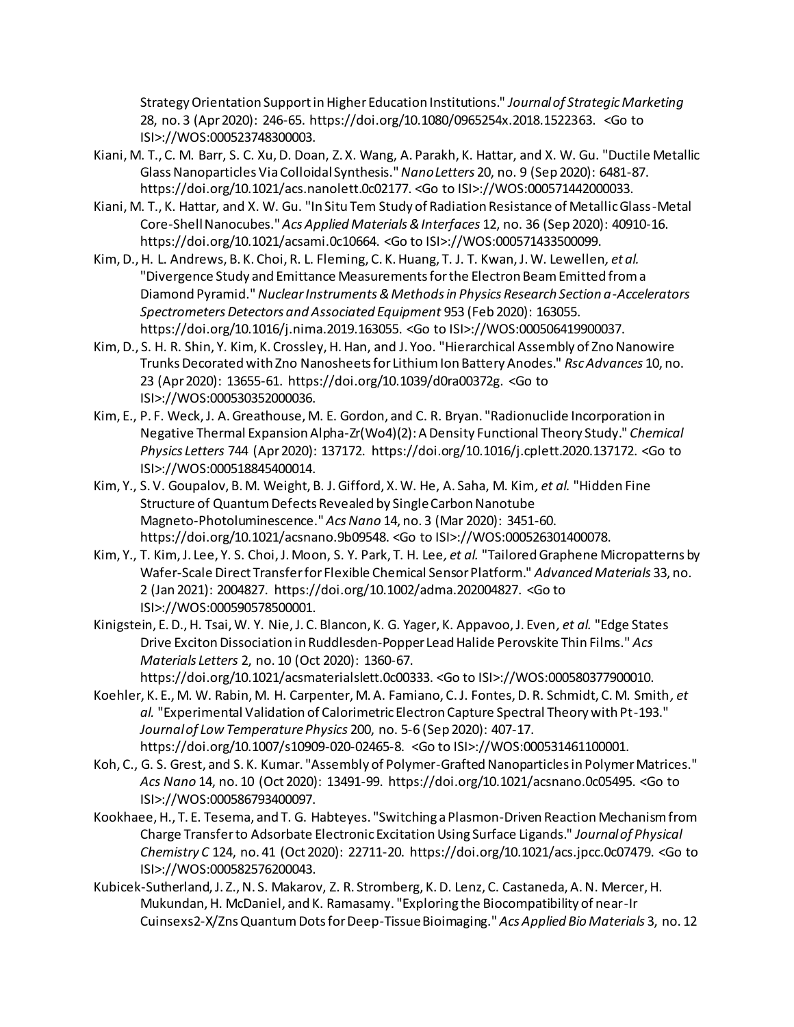Strategy Orientation Support in Higher Education Institutions." *Journal of Strategic Marketing* 28, no. 3 (Apr 2020): 246-65. https://doi.org/10.1080/0965254x.2018.1522363. <Go to ISI>://WOS:000523748300003.

- Kiani, M. T., C. M. Barr, S. C. Xu, D. Doan, Z. X. Wang, A. Parakh, K. Hattar, and X. W. Gu. "Ductile Metallic Glass Nanoparticles Via Colloidal Synthesis." *Nano Letters* 20, no. 9 (Sep 2020): 6481-87. https://doi.org/10.1021/acs.nanolett.0c02177. <Go to ISI>://WOS:000571442000033.
- Kiani, M. T., K. Hattar, and X. W. Gu. "In Situ Tem Study of Radiation Resistance of Metallic Glass-Metal Core-Shell Nanocubes." *Acs Applied Materials & Interfaces* 12, no. 36 (Sep 2020): 40910-16. https://doi.org/10.1021/acsami.0c10664. <Go to ISI>://WOS:000571433500099.
- Kim, D., H. L. Andrews, B. K. Choi, R. L. Fleming, C. K. Huang, T. J. T. Kwan, J. W. Lewellen*, et al.* "Divergence Study and Emittance Measurements for the Electron Beam Emitted from a Diamond Pyramid." *Nuclear Instruments & Methods in Physics Research Section a-Accelerators Spectrometers Detectors and Associated Equipment* 953 (Feb 2020): 163055. https://doi.org/10.1016/j.nima.2019.163055. <Go to ISI>://WOS:000506419900037.
- Kim, D., S. H. R. Shin, Y. Kim, K. Crossley, H. Han, and J. Yoo. "Hierarchical Assembly of Zno Nanowire Trunks Decorated with Zno Nanosheets for Lithium Ion Battery Anodes." *Rsc Advances* 10, no. 23 (Apr 2020): 13655-61. https://doi.org/10.1039/d0ra00372g. <Go to ISI>://WOS:000530352000036.
- Kim, E., P. F. Weck, J. A. Greathouse, M. E. Gordon, and C. R. Bryan. "Radionuclide Incorporation in Negative Thermal Expansion Alpha-Zr(Wo4)(2): A Density Functional Theory Study." *Chemical Physics Letters* 744 (Apr 2020): 137172. https://doi.org/10.1016/j.cplett.2020.137172. <Go to ISI>://WOS:000518845400014.
- Kim, Y., S. V. Goupalov, B. M. Weight, B. J. Gifford, X. W. He, A. Saha, M. Kim*, et al.* "Hidden Fine Structure of Quantum Defects Revealed by Single Carbon Nanotube Magneto-Photoluminescence." *Acs Nano* 14, no. 3 (Mar 2020): 3451-60. https://doi.org/10.1021/acsnano.9b09548. <Go to ISI>://WOS:000526301400078.
- Kim, Y., T. Kim, J. Lee, Y. S. Choi, J. Moon, S. Y. Park, T. H. Lee*, et al.* "Tailored Graphene Micropatterns by Wafer-Scale Direct Transfer for Flexible Chemical Sensor Platform." *Advanced Materials* 33, no. 2 (Jan 2021): 2004827. https://doi.org/10.1002/adma.202004827. <Go to ISI>://WOS:000590578500001.
- Kinigstein, E. D., H. Tsai, W. Y. Nie, J. C. Blancon, K. G. Yager, K. Appavoo, J. Even*, et al.* "Edge States Drive Exciton Dissociation in Ruddlesden-Popper Lead Halide Perovskite Thin Films." *Acs Materials Letters* 2, no. 10 (Oct 2020): 1360-67.
- https://doi.org/10.1021/acsmaterialslett.0c00333. <Go to ISI>://WOS:000580377900010. Koehler, K. E., M. W. Rabin, M. H. Carpenter, M. A. Famiano, C. J. Fontes, D. R. Schmidt, C. M. Smith*, et al.* "Experimental Validation of Calorimetric Electron Capture Spectral Theory with Pt-193." *Journal of Low Temperature Physics* 200, no. 5-6 (Sep 2020): 407-17. https://doi.org/10.1007/s10909-020-02465-8. <Go to ISI>://WOS:000531461100001.
- Koh, C., G. S. Grest, and S. K. Kumar. "Assembly of Polymer-Grafted Nanoparticles in Polymer Matrices." *Acs Nano* 14, no. 10 (Oct 2020): 13491-99. https://doi.org/10.1021/acsnano.0c05495. <Go to ISI>://WOS:000586793400097.
- Kookhaee, H., T. E. Tesema, and T. G. Habteyes. "Switching a Plasmon-Driven Reaction Mechanism from Charge Transfer to Adsorbate Electronic Excitation Using Surface Ligands." *Journal of Physical Chemistry C* 124, no. 41 (Oct 2020): 22711-20. https://doi.org/10.1021/acs.jpcc.0c07479. <Go to ISI>://WOS:000582576200043.
- Kubicek-Sutherland, J. Z., N. S. Makarov, Z. R. Stromberg, K. D. Lenz, C. Castaneda, A. N. Mercer, H. Mukundan, H. McDaniel, and K. Ramasamy. "Exploring the Biocompatibility of near-Ir Cuinsexs2-X/Zns Quantum Dots for Deep-Tissue Bioimaging." *Acs Applied Bio Materials* 3, no. 12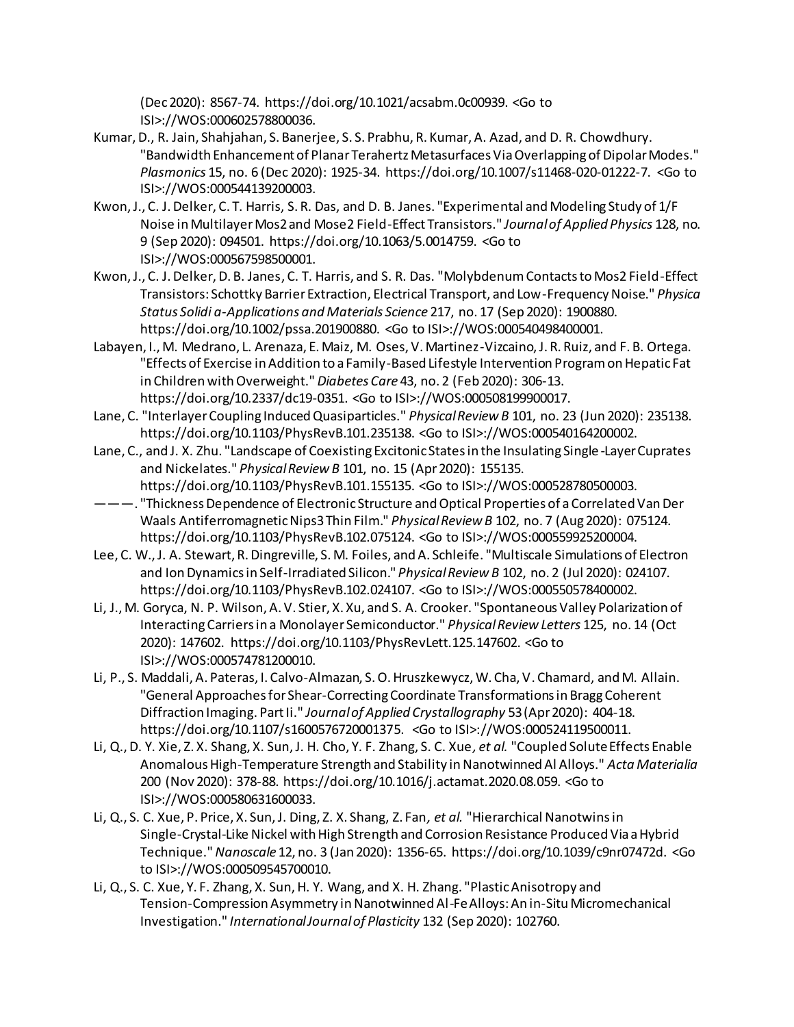(Dec 2020): 8567-74. https://doi.org/10.1021/acsabm.0c00939. <Go to ISI>://WOS:000602578800036.

- Kumar, D., R. Jain, Shahjahan, S. Banerjee, S. S. Prabhu, R. Kumar, A. Azad, and D. R. Chowdhury. "Bandwidth Enhancement of Planar Terahertz Metasurfaces Via Overlapping of Dipolar Modes." *Plasmonics* 15, no. 6 (Dec 2020): 1925-34. https://doi.org/10.1007/s11468-020-01222-7. <Go to ISI>://WOS:000544139200003.
- Kwon, J., C. J. Delker, C. T. Harris, S. R. Das, and D. B. Janes. "Experimental and Modeling Study of 1/F Noise in Multilayer Mos2 and Mose2 Field-Effect Transistors." *Journal of Applied Physics* 128, no. 9 (Sep 2020): 094501. https://doi.org/10.1063/5.0014759. <Go to ISI>://WOS:000567598500001.
- Kwon, J., C. J. Delker, D. B. Janes, C. T. Harris, and S. R. Das. "Molybdenum Contacts to Mos2 Field-Effect Transistors: Schottky Barrier Extraction, Electrical Transport, and Low-Frequency Noise." *Physica Status Solidi a-Applications and Materials Science* 217, no. 17 (Sep 2020): 1900880. https://doi.org/10.1002/pssa.201900880. <Go to ISI>://WOS:000540498400001.
- Labayen, I., M. Medrano, L. Arenaza, E. Maiz, M. Oses, V. Martinez-Vizcaino, J. R. Ruiz, and F. B. Ortega. "Effects of Exercise in Addition to a Family-Based Lifestyle Intervention Program on Hepatic Fat in Children with Overweight." *Diabetes Care* 43, no. 2 (Feb 2020): 306-13. https://doi.org/10.2337/dc19-0351. <Go to ISI>://WOS:000508199900017.
- Lane, C. "Interlayer Coupling Induced Quasiparticles." *Physical Review B* 101, no. 23 (Jun 2020): 235138. https://doi.org/10.1103/PhysRevB.101.235138. <Go to ISI>://WOS:000540164200002.
- Lane, C., and J. X. Zhu. "Landscape of Coexisting Excitonic States in the Insulating Single -Layer Cuprates and Nickelates." *Physical Review B* 101, no. 15 (Apr 2020): 155135. https://doi.org/10.1103/PhysRevB.101.155135. <Go to ISI>://WOS:000528780500003.
- ———. "Thickness Dependence of Electronic Structure and Optical Properties of a Correlated Van Der Waals Antiferromagnetic Nips3 Thin Film." *Physical Review B* 102, no. 7 (Aug 2020): 075124. https://doi.org/10.1103/PhysRevB.102.075124. <Go to ISI>://WOS:000559925200004.
- Lee, C. W., J. A. Stewart, R. Dingreville, S. M. Foiles, and A. Schleife. "Multiscale Simulations of Electron and Ion Dynamics in Self-Irradiated Silicon." *Physical Review B* 102, no. 2 (Jul 2020): 024107. https://doi.org/10.1103/PhysRevB.102.024107. <Go to ISI>://WOS:000550578400002.
- Li, J., M. Goryca, N. P. Wilson, A. V. Stier, X. Xu, and S. A. Crooker. "Spontaneous Valley Polarization of Interacting Carriers in a Monolayer Semiconductor." *Physical Review Letters* 125, no. 14 (Oct 2020): 147602. https://doi.org/10.1103/PhysRevLett.125.147602. <Go to ISI>://WOS:000574781200010.
- Li, P., S. Maddali, A. Pateras, I. Calvo-Almazan, S. O. Hruszkewycz, W. Cha, V. Chamard, and M. Allain. "General Approaches for Shear-Correcting Coordinate Transformations in Bragg Coherent Diffraction Imaging. Part Ii." *Journal of Applied Crystallography* 53 (Apr 2020): 404-18. https://doi.org/10.1107/s1600576720001375. <Go to ISI>://WOS:000524119500011.
- Li, Q., D. Y. Xie, Z. X. Shang, X. Sun, J. H. Cho, Y. F. Zhang, S. C. Xue*, et al.* "Coupled Solute Effects Enable Anomalous High-Temperature Strength and Stability in Nanotwinned Al Alloys." *Acta Materialia*  200 (Nov 2020): 378-88. https://doi.org/10.1016/j.actamat.2020.08.059. <Go to ISI>://WOS:000580631600033.
- Li, Q., S. C. Xue, P. Price, X. Sun, J. Ding, Z. X. Shang, Z. Fan*, et al.* "Hierarchical Nanotwins in Single-Crystal-Like Nickel with High Strength and Corrosion Resistance Produced Via a Hybrid Technique." *Nanoscale* 12, no. 3 (Jan 2020): 1356-65. https://doi.org/10.1039/c9nr07472d. <Go to ISI>://WOS:000509545700010.
- Li, Q., S. C. Xue, Y. F. Zhang, X. Sun, H. Y. Wang, and X. H. Zhang. "Plastic Anisotropy and Tension-Compression Asymmetry in Nanotwinned Al-Fe Alloys: An in-Situ Micromechanical Investigation." *International Journal of Plasticity* 132 (Sep 2020): 102760.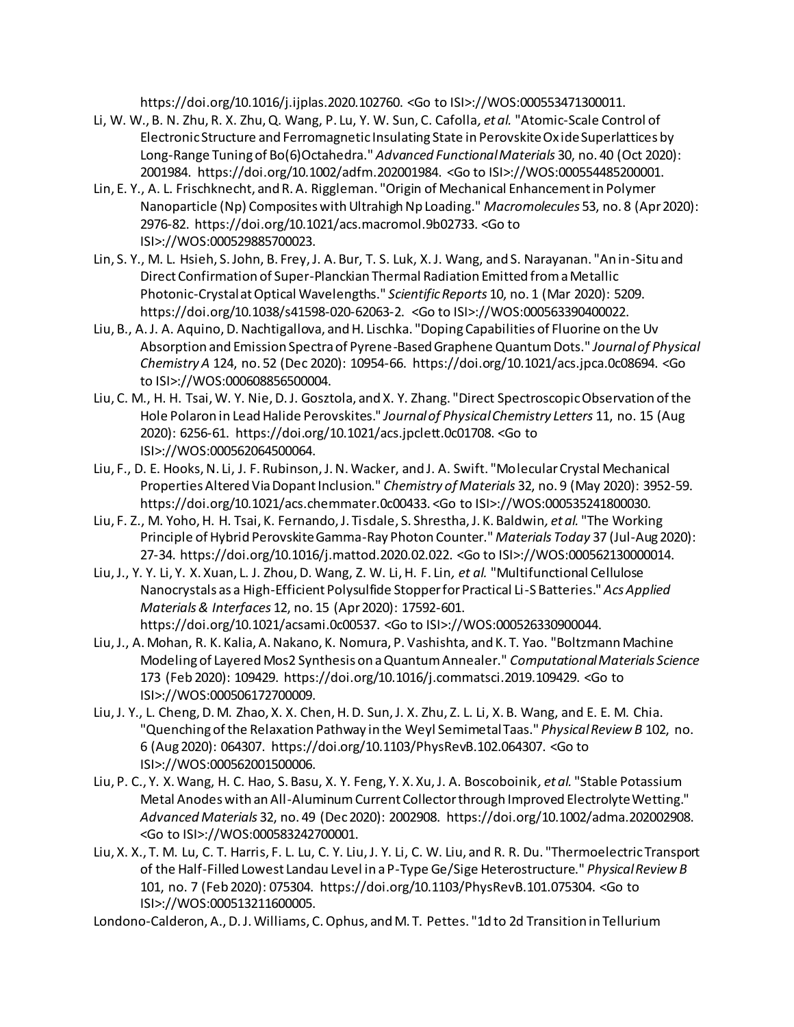https://doi.org/10.1016/j.ijplas.2020.102760. <Go to ISI>://WOS:000553471300011.

- Li, W. W., B. N. Zhu, R. X. Zhu, Q. Wang, P. Lu, Y. W. Sun, C. Cafolla*, et al.* "Atomic-Scale Control of Electronic Structure and Ferromagnetic Insulating State in Perovskite Oxide Superlattices by Long-Range Tuning of Bo(6)Octahedra." *Advanced Functional Materials* 30, no. 40 (Oct 2020): 2001984. https://doi.org/10.1002/adfm.202001984. <Go to ISI>://WOS:000554485200001.
- Lin, E. Y., A. L. Frischknecht, and R. A. Riggleman. "Origin of Mechanical Enhancement in Polymer Nanoparticle (Np) Composites with Ultrahigh Np Loading." *Macromolecules* 53, no. 8 (Apr 2020): 2976-82. https://doi.org/10.1021/acs.macromol.9b02733. <Go to ISI>://WOS:000529885700023.
- Lin, S. Y., M. L. Hsieh, S. John, B. Frey, J. A. Bur, T. S. Luk, X. J. Wang, and S. Narayanan. "An in-Situ and Direct Confirmation of Super-Planckian Thermal Radiation Emitted from a Metallic Photonic-Crystal at Optical Wavelengths." *Scientific Reports* 10, no. 1 (Mar 2020): 5209. https://doi.org/10.1038/s41598-020-62063-2. <Go to ISI>://WOS:000563390400022.
- Liu, B., A. J. A. Aquino, D. Nachtigallova, and H. Lischka. "Doping Capabilities of Fluorine on the Uv Absorption and Emission Spectra of Pyrene-Based Graphene Quantum Dots." *Journal of Physical Chemistry A* 124, no. 52 (Dec 2020): 10954-66. https://doi.org/10.1021/acs.jpca.0c08694. <Go to ISI>://WOS:000608856500004.
- Liu, C. M., H. H. Tsai, W. Y. Nie, D. J. Gosztola, and X. Y. Zhang. "Direct Spectroscopic Observation of the Hole Polaron in Lead Halide Perovskites." *Journal of Physical Chemistry Letters* 11, no. 15 (Aug 2020): 6256-61. https://doi.org/10.1021/acs.jpclett.0c01708. <Go to ISI>://WOS:000562064500064.
- Liu, F., D. E. Hooks, N. Li, J. F. Rubinson, J. N. Wacker, and J. A. Swift. "Molecular Crystal Mechanical Properties Altered Via Dopant Inclusion." *Chemistry of Materials* 32, no. 9 (May 2020): 3952-59. https://doi.org/10.1021/acs.chemmater.0c00433. <Go to ISI>://WOS:000535241800030.
- Liu, F. Z., M. Yoho, H. H. Tsai, K. Fernando, J. Tisdale, S. Shrestha, J. K. Baldwin*, et al.* "The Working Principle of Hybrid Perovskite Gamma-Ray Photon Counter." *Materials Today* 37 (Jul-Aug 2020): 27-34. https://doi.org/10.1016/j.mattod.2020.02.022. <Go to ISI>://WOS:000562130000014.
- Liu, J., Y. Y. Li, Y. X. Xuan, L. J. Zhou, D. Wang, Z. W. Li, H. F. Lin*, et al.* "Multifunctional Cellulose Nanocrystals as a High-Efficient Polysulfide Stopper for Practical Li-S Batteries." *Acs Applied Materials & Interfaces* 12, no. 15 (Apr 2020): 17592-601. https://doi.org/10.1021/acsami.0c00537. <Go to ISI>://WOS:000526330900044.
- Liu, J., A. Mohan, R. K. Kalia, A. Nakano, K. Nomura, P. Vashishta, and K. T. Yao. "Boltzmann Machine Modeling of Layered Mos2 Synthesis on a Quantum Annealer." *Computational Materials Science*  173 (Feb 2020): 109429. https://doi.org/10.1016/j.commatsci.2019.109429. <Go to ISI>://WOS:000506172700009.
- Liu, J. Y., L. Cheng, D. M. Zhao, X. X. Chen, H. D. Sun, J. X. Zhu, Z. L. Li, X. B. Wang, and E. E. M. Chia. "Quenching of the Relaxation Pathway in the Weyl Semimetal Taas." *Physical Review B* 102, no. 6 (Aug 2020): 064307. https://doi.org/10.1103/PhysRevB.102.064307. <Go to ISI>://WOS:000562001500006.
- Liu, P. C., Y. X. Wang, H. C. Hao, S. Basu, X. Y. Feng, Y. X. Xu, J. A. Boscoboinik*, et al.* "Stable Potassium Metal Anodes with an All-Aluminum Current Collector through Improved Electrolyte Wetting." *Advanced Materials* 32, no. 49 (Dec 2020): 2002908. https://doi.org/10.1002/adma.202002908. <Go to ISI>://WOS:000583242700001.
- Liu, X. X., T. M. Lu, C. T. Harris, F. L. Lu, C. Y. Liu, J. Y. Li, C. W. Liu, and R. R. Du. "Thermoelectric Transport of the Half-Filled Lowest Landau Level in a P-Type Ge/Sige Heterostructure." *Physical Review B*  101, no. 7 (Feb 2020): 075304. https://doi.org/10.1103/PhysRevB.101.075304. <Go to ISI>://WOS:000513211600005.

Londono-Calderon, A., D. J. Williams, C. Ophus, and M. T. Pettes. "1d to 2d Transition in Tellurium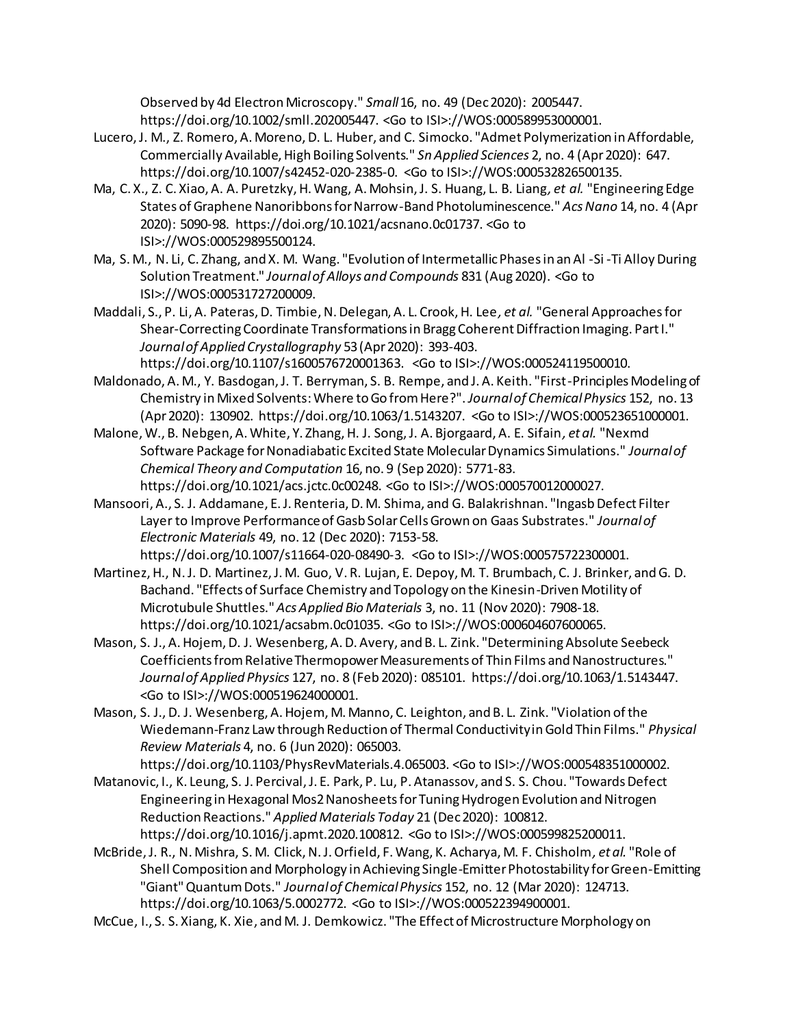Observed by 4d Electron Microscopy." *Small* 16, no. 49 (Dec 2020): 2005447. https://doi.org/10.1002/smll.202005447. <Go to ISI>://WOS:000589953000001.

- Lucero, J. M., Z. Romero, A. Moreno, D. L. Huber, and C. Simocko. "Admet Polymerization in Affordable, Commercially Available, High Boiling Solvents." *Sn Applied Sciences* 2, no. 4 (Apr 2020): 647. https://doi.org/10.1007/s42452-020-2385-0. <Go to ISI>://WOS:000532826500135.
- Ma, C. X., Z. C. Xiao, A. A. Puretzky, H. Wang, A. Mohsin, J. S. Huang, L. B. Liang*, et al.* "Engineering Edge States of Graphene Nanoribbons for Narrow-Band Photoluminescence." *Acs Nano* 14, no. 4 (Apr 2020): 5090-98. https://doi.org/10.1021/acsnano.0c01737. <Go to ISI>://WOS:000529895500124.
- Ma, S. M., N. Li, C. Zhang, and X. M. Wang. "Evolution of Intermetallic Phases in an Al -Si -Ti Alloy During Solution Treatment." *Journal of Alloys and Compounds* 831 (Aug 2020). <Go to ISI>://WOS:000531727200009.
- Maddali, S., P. Li, A. Pateras, D. Timbie, N. Delegan, A. L. Crook, H. Lee*, et al.* "General Approaches for Shear-Correcting Coordinate Transformations in Bragg Coherent Diffraction Imaging. Part I." *Journal of Applied Crystallography* 53 (Apr 2020): 393-403. https://doi.org/10.1107/s1600576720001363. <Go to ISI>://WOS:000524119500010.
- Maldonado, A. M., Y. Basdogan, J. T. Berryman, S. B. Rempe, and J. A. Keith. "First-Principles Modeling of Chemistry in Mixed Solvents: Where to Go from Here?". *Journal of Chemical Physics* 152, no. 13 (Apr 2020): 130902. https://doi.org/10.1063/1.5143207. <Go to ISI>://WOS:000523651000001.
- Malone, W., B. Nebgen, A. White, Y. Zhang, H. J. Song, J. A. Bjorgaard, A. E. Sifain*, et al.* "Nexmd Software Package for Nonadiabatic Excited State Molecular Dynamics Simulations." *Journal of Chemical Theory and Computation* 16, no. 9 (Sep 2020): 5771-83. https://doi.org/10.1021/acs.jctc.0c00248. <Go to ISI>://WOS:000570012000027.
- Mansoori, A., S. J. Addamane, E. J. Renteria, D. M. Shima, and G. Balakrishnan. "Ingasb Defect Filter Layer to Improve Performance of Gasb Solar Cells Grown on Gaas Substrates." *Journal of Electronic Materials* 49, no. 12 (Dec 2020): 7153-58. https://doi.org/10.1007/s11664-020-08490-3. <Go to ISI>://WOS:000575722300001.
- Martinez, H., N. J. D. Martinez, J. M. Guo, V. R. Lujan, E. Depoy, M. T. Brumbach, C. J. Brinker, and G. D. Bachand. "Effects of Surface Chemistry and Topology on the Kinesin-Driven Motility of Microtubule Shuttles." *Acs Applied Bio Materials* 3, no. 11 (Nov 2020): 7908-18. https://doi.org/10.1021/acsabm.0c01035. <Go to ISI>://WOS:000604607600065.
- Mason, S. J., A. Hojem, D. J. Wesenberg, A. D. Avery, and B. L. Zink. "Determining Absolute Seebeck Coefficients from Relative Thermopower Measurements of Thin Films and Nanostructures." *Journal of Applied Physics* 127, no. 8 (Feb 2020): 085101. https://doi.org/10.1063/1.5143447. <Go to ISI>://WOS:000519624000001.
- Mason, S. J., D. J. Wesenberg, A. Hojem, M. Manno, C. Leighton, and B. L. Zink. "Violation of the Wiedemann-Franz Law through Reduction of Thermal Conductivity in Gold Thin Films." *Physical Review Materials* 4, no. 6 (Jun 2020): 065003.

https://doi.org/10.1103/PhysRevMaterials.4.065003. <Go to ISI>://WOS:000548351000002.

Matanovic, I., K. Leung, S. J. Percival, J. E. Park, P. Lu, P. Atanassov, and S. S. Chou. "Towards Defect Engineering in Hexagonal Mos2 Nanosheets for Tuning Hydrogen Evolution and Nitrogen Reduction Reactions." *Applied Materials Today* 21 (Dec 2020): 100812. https://doi.org/10.1016/j.apmt.2020.100812. <Go to ISI>://WOS:000599825200011.

McBride, J. R., N. Mishra, S. M. Click, N. J. Orfield, F. Wang, K. Acharya, M. F. Chisholm*, et al.* "Role of Shell Composition and Morphology in Achieving Single-Emitter Photostability for Green-Emitting "Giant" Quantum Dots." *Journal of Chemical Physics* 152, no. 12 (Mar 2020): 124713. https://doi.org/10.1063/5.0002772. <Go to ISI>://WOS:000522394900001.

McCue, I., S. S. Xiang, K. Xie, and M. J. Demkowicz. "The Effect of Microstructure Morphology on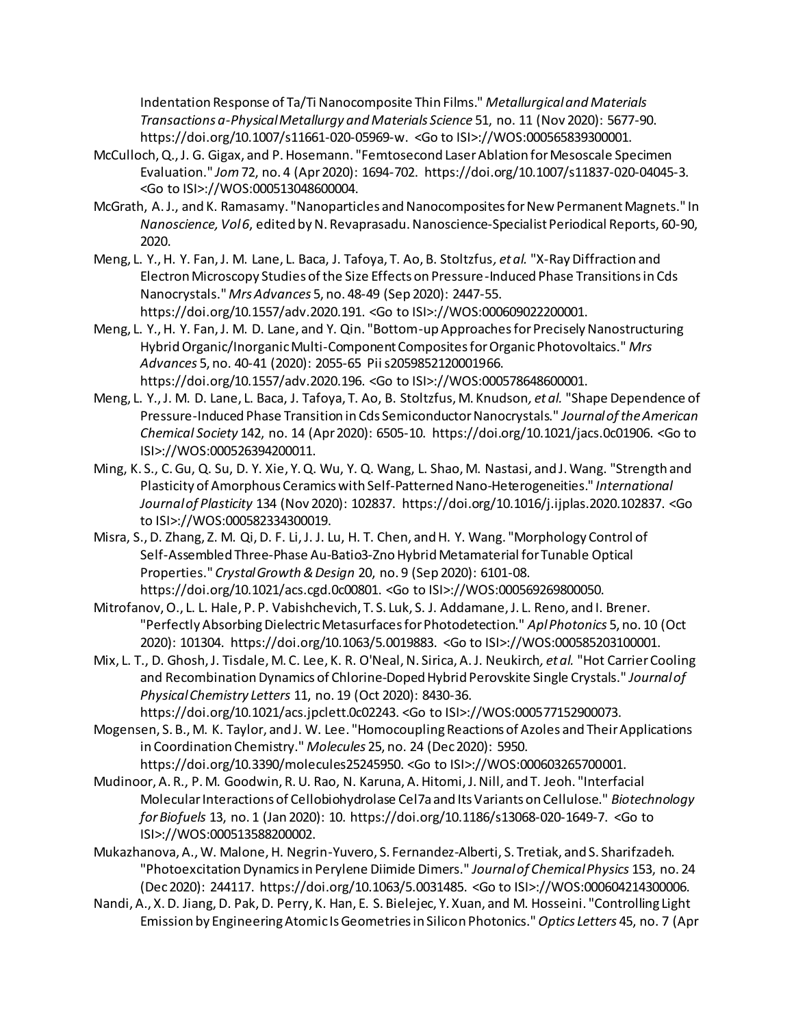Indentation Response of Ta/Ti Nanocomposite Thin Films." *Metallurgical and Materials Transactions a-Physical Metallurgy and Materials Science* 51, no. 11 (Nov 2020): 5677-90. https://doi.org/10.1007/s11661-020-05969-w. <Go to ISI>://WOS:000565839300001.

- McCulloch, Q., J. G. Gigax, and P. Hosemann. "Femtosecond Laser Ablation for Mesoscale Specimen Evaluation." *Jom* 72, no. 4 (Apr 2020): 1694-702. https://doi.org/10.1007/s11837-020-04045-3. <Go to ISI>://WOS:000513048600004.
- McGrath, A. J., and K. Ramasamy. "Nanoparticles and Nanocomposites for New Permanent Magnets." In *Nanoscience, Vol 6*, edited by N. Revaprasadu. Nanoscience-Specialist Periodical Reports, 60-90, 2020.
- Meng, L. Y., H. Y. Fan, J. M. Lane, L. Baca, J. Tafoya, T. Ao, B. Stoltzfus*, et al.* "X-Ray Diffraction and Electron Microscopy Studies of the Size Effects on Pressure-Induced Phase Transitions in Cds Nanocrystals." *Mrs Advances* 5, no. 48-49 (Sep 2020): 2447-55. https://doi.org/10.1557/adv.2020.191. <Go to ISI>://WOS:000609022200001.
- Meng, L. Y., H. Y. Fan, J. M. D. Lane, and Y. Qin. "Bottom-up Approaches for Precisely Nanostructuring Hybrid Organic/Inorganic Multi-Component Composites for Organic Photovoltaics." *Mrs Advances* 5, no. 40-41 (2020): 2055-65 Pii s2059852120001966.

https://doi.org/10.1557/adv.2020.196. <Go to ISI>://WOS:000578648600001. Meng, L. Y., J. M. D. Lane, L. Baca, J. Tafoya, T. Ao, B. Stoltzfus, M. Knudson*, et al.* "Shape Dependence of

- Pressure-Induced Phase Transition in Cds Semiconductor Nanocrystals." *Journal of the American Chemical Society* 142, no. 14 (Apr 2020): 6505-10. https://doi.org/10.1021/jacs.0c01906. <Go to ISI>://WOS:000526394200011.
- Ming, K. S., C. Gu, Q. Su, D. Y. Xie, Y. Q. Wu, Y. Q. Wang, L. Shao, M. Nastasi, and J. Wang. "Strength and Plasticity of Amorphous Ceramics with Self-Patterned Nano-Heterogeneities." *International Journal of Plasticity* 134 (Nov 2020): 102837. https://doi.org/10.1016/j.ijplas.2020.102837. <Go to ISI>://WOS:000582334300019.
- Misra, S., D. Zhang, Z. M. Qi, D. F. Li, J. J. Lu, H. T. Chen, and H. Y. Wang. "Morphology Control of Self-Assembled Three-Phase Au-Batio3-Zno Hybrid Metamaterial for Tunable Optical Properties." *Crystal Growth & Design* 20, no. 9 (Sep 2020): 6101-08. https://doi.org/10.1021/acs.cgd.0c00801. <Go to ISI>://WOS:000569269800050.
- Mitrofanov, O., L. L. Hale, P. P. Vabishchevich, T. S. Luk, S. J. Addamane, J. L. Reno, and I. Brener. "Perfectly Absorbing Dielectric Metasurfaces for Photodetection." *Apl Photonics* 5, no. 10 (Oct 2020): 101304. https://doi.org/10.1063/5.0019883. <Go to ISI>://WOS:000585203100001.
- Mix, L. T., D. Ghosh, J. Tisdale, M. C. Lee, K. R. O'Neal, N. Sirica, A. J. Neukirch*, et al.* "Hot Carrier Cooling and Recombination Dynamics of Chlorine-Doped Hybrid Perovskite Single Crystals." *Journal of Physical Chemistry Letters* 11, no. 19 (Oct 2020): 8430-36.
- https://doi.org/10.1021/acs.jpclett.0c02243. <Go to ISI>://WOS:000577152900073. Mogensen, S. B., M. K. Taylor, and J. W. Lee. "Homocoupling Reactions of Azoles and Their Applications in Coordination Chemistry." *Molecules* 25, no. 24 (Dec 2020): 5950.

https://doi.org/10.3390/molecules25245950. <Go to ISI>://WOS:000603265700001.

- Mudinoor, A. R., P. M. Goodwin, R. U. Rao, N. Karuna, A. Hitomi, J. Nill, and T. Jeoh. "Interfacial Molecular Interactions of Cellobiohydrolase Cel7a and Its Variants on Cellulose." *Biotechnology for Biofuels* 13, no. 1 (Jan 2020): 10. https://doi.org/10.1186/s13068-020-1649-7. <Go to ISI>://WOS:000513588200002.
- Mukazhanova, A., W. Malone, H. Negrin-Yuvero, S. Fernandez-Alberti, S. Tretiak, and S. Sharifzadeh. "Photoexcitation Dynamics in Perylene Diimide Dimers." *Journal of Chemical Physics* 153, no. 24 (Dec 2020): 244117. https://doi.org/10.1063/5.0031485. <Go to ISI>://WOS:000604214300006.
- Nandi, A., X. D. Jiang, D. Pak, D. Perry, K. Han, E. S. Bielejec, Y. Xuan, and M. Hosseini. "Controlling Light Emission by Engineering Atomic Is Geometries in Silicon Photonics." *Optics Letters* 45, no. 7 (Apr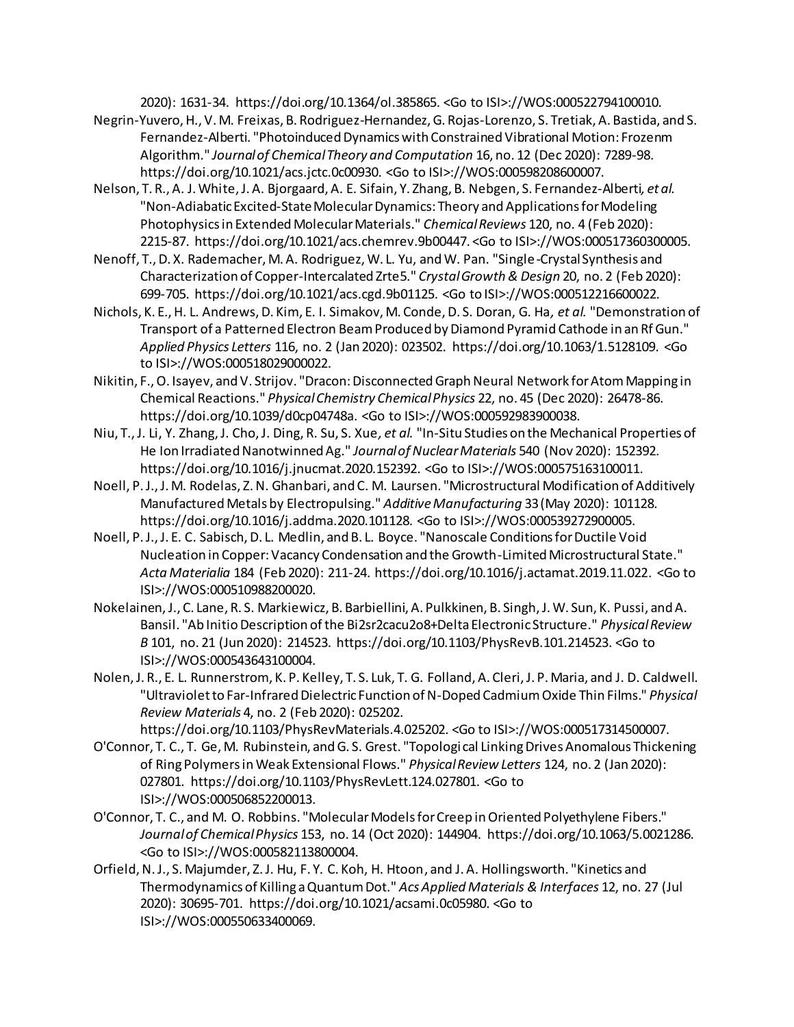2020): 1631-34. https://doi.org/10.1364/ol.385865. <Go to ISI>://WOS:000522794100010.

- Negrin-Yuvero, H., V. M. Freixas, B. Rodriguez-Hernandez, G. Rojas-Lorenzo, S. Tretiak, A. Bastida, and S. Fernandez-Alberti. "Photoinduced Dynamics with Constrained Vibrational Motion: Frozenm Algorithm." *Journal of Chemical Theory and Computation* 16, no. 12 (Dec 2020): 7289-98. https://doi.org/10.1021/acs.jctc.0c00930. <Go to ISI>://WOS:000598208600007.
- Nelson, T. R., A. J. White, J. A. Bjorgaard, A. E. Sifain, Y. Zhang, B. Nebgen, S. Fernandez-Alberti*, et al.* "Non-Adiabatic Excited-State Molecular Dynamics: Theory and Applications for Modeling Photophysics in Extended Molecular Materials." *Chemical Reviews* 120, no. 4 (Feb 2020): 2215-87. https://doi.org/10.1021/acs.chemrev.9b00447. <Go to ISI>://WOS:000517360300005.
- Nenoff, T., D. X. Rademacher, M. A. Rodriguez, W. L. Yu, and W. Pan. "Single-Crystal Synthesis and Characterization of Copper-Intercalated Zrte5." *Crystal Growth & Design* 20, no. 2 (Feb 2020): 699-705. https://doi.org/10.1021/acs.cgd.9b01125. <Go to ISI>://WOS:000512216600022.
- Nichols, K. E., H. L. Andrews, D. Kim, E. I. Simakov, M. Conde, D. S. Doran, G. Ha*, et al.* "Demonstration of Transport of a Patterned Electron Beam Produced by Diamond Pyramid Cathode in an Rf Gun." *Applied Physics Letters* 116, no. 2 (Jan 2020): 023502. https://doi.org/10.1063/1.5128109. <Go to ISI>://WOS:000518029000022.
- Nikitin, F., O. Isayev, and V. Strijov. "Dracon: Disconnected Graph Neural Network for Atom Mapping in Chemical Reactions." *Physical Chemistry Chemical Physics* 22, no. 45 (Dec 2020): 26478-86. https://doi.org/10.1039/d0cp04748a. <Go to ISI>://WOS:000592983900038.
- Niu, T., J. Li, Y. Zhang, J. Cho, J. Ding, R. Su, S. Xue*, et al.* "In-Situ Studies on the Mechanical Properties of He Ion Irradiated Nanotwinned Ag." *Journal of Nuclear Materials* 540 (Nov 2020): 152392. https://doi.org/10.1016/j.jnucmat.2020.152392. <Go to ISI>://WOS:000575163100011.
- Noell, P. J., J. M. Rodelas, Z. N. Ghanbari, and C. M. Laursen. "Microstructural Modification of Additively Manufactured Metals by Electropulsing." *Additive Manufacturing* 33 (May 2020): 101128. https://doi.org/10.1016/j.addma.2020.101128. <Go to ISI>://WOS:000539272900005.
- Noell, P. J., J. E. C. Sabisch, D. L. Medlin, and B. L. Boyce. "Nanoscale Conditions for Ductile Void Nucleation in Copper: Vacancy Condensation and the Growth-Limited Microstructural State." *Acta Materialia* 184 (Feb 2020): 211-24. https://doi.org/10.1016/j.actamat.2019.11.022. <Go to ISI>://WOS:000510988200020.
- Nokelainen, J., C. Lane, R. S. Markiewicz, B. Barbiellini, A. Pulkkinen, B. Singh, J. W. Sun, K. Pussi, and A. Bansil. "Ab Initio Description of the Bi2sr2cacu2o8+Delta Electronic Structure." *Physical Review B* 101, no. 21 (Jun 2020): 214523. https://doi.org/10.1103/PhysRevB.101.214523. <Go to ISI>://WOS:000543643100004.
- Nolen, J. R., E. L. Runnerstrom, K. P. Kelley, T. S. Luk, T. G. Folland, A. Cleri, J. P. Maria, and J. D. Caldwell. "Ultraviolet to Far-Infrared Dielectric Function of N-Doped Cadmium Oxide Thin Films." *Physical Review Materials* 4, no. 2 (Feb 2020): 025202.
- https://doi.org/10.1103/PhysRevMaterials.4.025202. <Go to ISI>://WOS:000517314500007. O'Connor, T. C., T. Ge, M. Rubinstein, and G. S. Grest. "Topological Linking Drives Anomalous Thickening of Ring Polymers in Weak Extensional Flows." *Physical Review Letters* 124, no. 2 (Jan 2020): 027801. https://doi.org/10.1103/PhysRevLett.124.027801. <Go to ISI>://WOS:000506852200013.
- O'Connor, T. C., and M. O. Robbins. "Molecular Models for Creep in Oriented Polyethylene Fibers." *Journal of Chemical Physics* 153, no. 14 (Oct 2020): 144904. https://doi.org/10.1063/5.0021286. <Go to ISI>://WOS:000582113800004.
- Orfield, N. J., S. Majumder, Z. J. Hu, F. Y. C. Koh, H. Htoon, and J. A. Hollingsworth. "Kinetics and Thermodynamics of Killing a Quantum Dot." *Acs Applied Materials & Interfaces* 12, no. 27 (Jul 2020): 30695-701. https://doi.org/10.1021/acsami.0c05980. <Go to ISI>://WOS:000550633400069.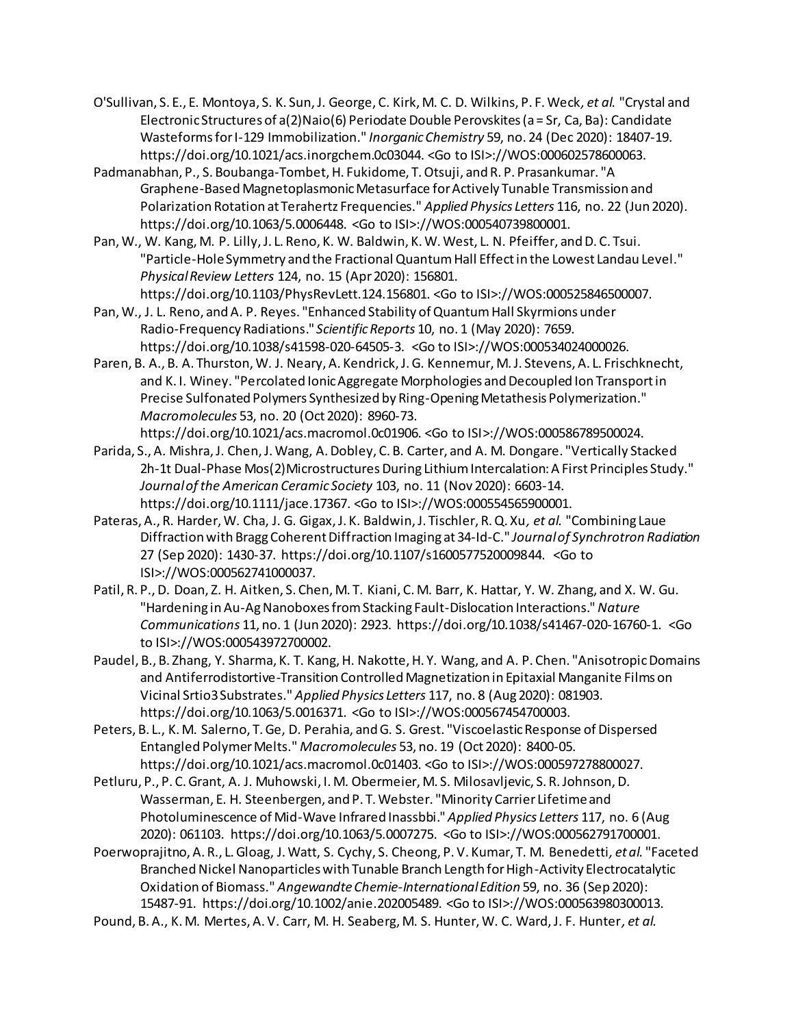- O'Sullivan, S. E., E. Montoya, S. K. Sun, J. George, C. Kirk, M. C. D. Wilkins, P. F. Weck*, et al.* "Crystal and Electronic Structures of a(2)Naio(6) Periodate Double Perovskites (a = Sr, Ca, Ba): Candidate Wasteforms for I-129 Immobilization." *Inorganic Chemistry* 59, no. 24 (Dec 2020): 18407-19. https://doi.org/10.1021/acs.inorgchem.0c03044. <Go to ISI>://WOS:000602578600063.
- Padmanabhan, P., S. Boubanga-Tombet, H. Fukidome, T. Otsuji, and R. P. Prasankumar. "A Graphene-Based Magnetoplasmonic Metasurface for Actively Tunable Transmission and Polarization Rotation at Terahertz Frequencies." *Applied Physics Letters* 116, no. 22 (Jun 2020). https://doi.org/10.1063/5.0006448. <Go to ISI>://WOS:000540739800001.
- Pan, W., W. Kang, M. P. Lilly, J. L. Reno, K. W. Baldwin, K. W. West, L. N. Pfeiffer, and D. C. Tsui. "Particle-Hole Symmetry and the Fractional Quantum Hall Effect in the Lowest Landau Level." *Physical Review Letters* 124, no. 15 (Apr 2020): 156801. https://doi.org/10.1103/PhysRevLett.124.156801. <Go to ISI>://WOS:000525846500007.
- Pan, W., J. L. Reno, and A. P. Reyes. "Enhanced Stability of Quantum Hall Skyrmions under Radio-Frequency Radiations." *Scientific Reports* 10, no. 1 (May 2020): 7659. https://doi.org/10.1038/s41598-020-64505-3. <Go to ISI>://WOS:000534024000026.
- Paren, B. A., B. A. Thurston, W. J. Neary, A. Kendrick, J. G. Kennemur, M. J. Stevens, A. L. Frischknecht, and K. I. Winey. "Percolated Ionic Aggregate Morphologies and Decoupled Ion Transport in Precise Sulfonated Polymers Synthesized by Ring-Opening Metathesis Polymerization." *Macromolecules* 53, no. 20 (Oct 2020): 8960-73.

https://doi.org/10.1021/acs.macromol.0c01906. <Go to ISI>://WOS:000586789500024.

- Parida, S., A. Mishra, J. Chen, J. Wang, A. Dobley, C. B. Carter, and A. M. Dongare. "Vertically Stacked 2h-1t Dual-Phase Mos(2)Microstructures During Lithium Intercalation: A First Principles Study." *Journal of the American Ceramic Society* 103, no. 11 (Nov 2020): 6603-14. https://doi.org/10.1111/jace.17367. <Go to ISI>://WOS:000554565900001.
- Pateras, A., R. Harder, W. Cha, J. G. Gigax, J. K. Baldwin, J. Tischler, R. Q. Xu*, et al.* "Combining Laue Diffraction with Bragg Coherent Diffraction Imaging at 34-Id-C." *Journal of Synchrotron Radiation*  27 (Sep 2020): 1430-37. https://doi.org/10.1107/s1600577520009844. <Go to ISI>://WOS:000562741000037.
- Patil, R. P., D. Doan, Z. H. Aitken, S. Chen, M. T. Kiani, C. M. Barr, K. Hattar, Y. W. Zhang, and X. W. Gu. "Hardening in Au-Ag Nanoboxes from Stacking Fault-Dislocation Interactions." *Nature Communications* 11, no. 1 (Jun 2020): 2923. https://doi.org/10.1038/s41467-020-16760-1. <Go to ISI>://WOS:000543972700002.
- Paudel, B., B. Zhang, Y. Sharma, K. T. Kang, H. Nakotte, H. Y. Wang, and A. P. Chen. "Anisotropic Domains and Antiferrodistortive-Transition Controlled Magnetization in Epitaxial Manganite Films on Vicinal Srtio3 Substrates." *Applied Physics Letters* 117, no. 8 (Aug 2020): 081903. https://doi.org/10.1063/5.0016371. <Go to ISI>://WOS:000567454700003.
- Peters, B. L., K. M. Salerno, T. Ge, D. Perahia, and G. S. Grest. "Viscoelastic Response of Dispersed Entangled Polymer Melts." *Macromolecules* 53, no. 19 (Oct 2020): 8400-05. https://doi.org/10.1021/acs.macromol.0c01403. <Go to ISI>://WOS:000597278800027.
- Petluru, P., P. C. Grant, A. J. Muhowski, I. M. Obermeier, M. S. Milosavljevic, S. R. Johnson, D. Wasserman, E. H. Steenbergen, and P. T. Webster. "Minority Carrier Lifetime and Photoluminescence of Mid-Wave Infrared Inassbbi." *Applied Physics Letters* 117, no. 6 (Aug 2020): 061103. https://doi.org/10.1063/5.0007275. <Go to ISI>://WOS:000562791700001.
- Poerwoprajitno, A. R., L. Gloag, J. Watt, S. Cychy, S. Cheong, P. V. Kumar, T. M. Benedetti*, et al.* "Faceted Branched Nickel Nanoparticles with Tunable Branch Length for High-Activity Electrocatalytic Oxidation of Biomass." *Angewandte Chemie-International Edition* 59, no. 36 (Sep 2020): 15487-91. https://doi.org/10.1002/anie.202005489. <Go to ISI>://WOS:000563980300013.
- Pound, B. A., K. M. Mertes, A. V. Carr, M. H. Seaberg, M. S. Hunter, W. C. Ward, J. F. Hunter*, et al.*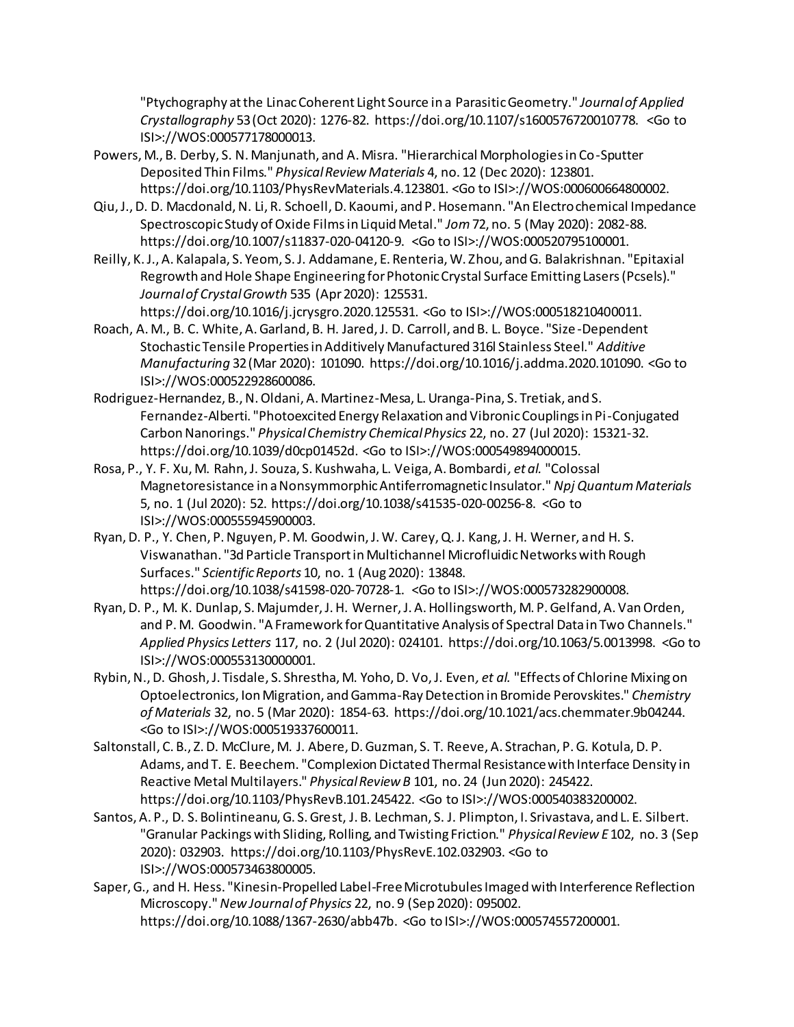"Ptychography at the Linac Coherent Light Source in a Parasitic Geometry." *Journal of Applied Crystallography* 53 (Oct 2020): 1276-82. https://doi.org/10.1107/s1600576720010778. <Go to ISI>://WOS:000577178000013.

- Powers, M., B. Derby, S. N. Manjunath, and A. Misra. "Hierarchical Morphologies in Co-Sputter Deposited Thin Films." *Physical Review Materials* 4, no. 12 (Dec 2020): 123801. https://doi.org/10.1103/PhysRevMaterials.4.123801. <Go to ISI>://WOS:000600664800002.
- Qiu, J., D. D. Macdonald, N. Li, R. Schoell, D. Kaoumi, and P. Hosemann. "An Electrochemical Impedance Spectroscopic Study of Oxide Films in Liquid Metal." *Jom* 72, no. 5 (May 2020): 2082-88. https://doi.org/10.1007/s11837-020-04120-9. <Go to ISI>://WOS:000520795100001.
- Reilly, K. J., A. Kalapala, S. Yeom, S. J. Addamane, E. Renteria, W. Zhou, and G. Balakrishnan. "Epitaxial Regrowth and Hole Shape Engineering for Photonic Crystal Surface Emitting Lasers (Pcsels)." *Journal of Crystal Growth* 535 (Apr 2020): 125531.

https://doi.org/10.1016/j.jcrysgro.2020.125531. <Go to ISI>://WOS:000518210400011.

- Roach, A. M., B. C. White, A. Garland, B. H. Jared, J. D. Carroll, and B. L. Boyce. "Size-Dependent Stochastic Tensile Properties in Additively Manufactured 316l Stainless Steel." *Additive Manufacturing* 32 (Mar 2020): 101090. https://doi.org/10.1016/j.addma.2020.101090. <Go to ISI>://WOS:000522928600086.
- Rodriguez-Hernandez, B., N. Oldani, A. Martinez-Mesa, L. Uranga-Pina, S. Tretiak, and S. Fernandez-Alberti. "Photoexcited Energy Relaxation and Vibronic Couplings in Pi-Conjugated Carbon Nanorings." *Physical Chemistry Chemical Physics* 22, no. 27 (Jul 2020): 15321-32. https://doi.org/10.1039/d0cp01452d. <Go to ISI>://WOS:000549894000015.
- Rosa, P., Y. F. Xu, M. Rahn, J. Souza, S. Kushwaha, L. Veiga, A. Bombardi*, et al.* "Colossal Magnetoresistance in a Nonsymmorphic Antiferromagnetic Insulator." *Npj Quantum Materials*  5, no. 1 (Jul 2020): 52. https://doi.org/10.1038/s41535-020-00256-8. <Go to ISI>://WOS:000555945900003.
- Ryan, D. P., Y. Chen, P. Nguyen, P. M. Goodwin, J. W. Carey, Q. J. Kang, J. H. Werner, and H. S. Viswanathan. "3d Particle Transport in Multichannel Microfluidic Networks with Rough Surfaces." *Scientific Reports* 10, no. 1 (Aug 2020): 13848. https://doi.org/10.1038/s41598-020-70728-1. <Go to ISI>://WOS:000573282900008.
- Ryan, D. P., M. K. Dunlap, S. Majumder, J. H. Werner, J. A. Hollingsworth, M. P. Gelfand, A. Van Orden, and P. M. Goodwin. "A Framework for Quantitative Analysis of Spectral Data in Two Channels." *Applied Physics Letters* 117, no. 2 (Jul 2020): 024101. https://doi.org/10.1063/5.0013998. <Go to ISI>://WOS:000553130000001.
- Rybin, N., D. Ghosh, J. Tisdale, S. Shrestha, M. Yoho, D. Vo, J. Even*, et al.* "Effects of Chlorine Mixing on Optoelectronics, Ion Migration, and Gamma-Ray Detection in Bromide Perovskites." *Chemistry of Materials* 32, no. 5 (Mar 2020): 1854-63. https://doi.org/10.1021/acs.chemmater.9b04244. <Go to ISI>://WOS:000519337600011.
- Saltonstall, C. B., Z. D. McClure, M. J. Abere, D. Guzman, S. T. Reeve, A. Strachan, P. G. Kotula, D. P. Adams, and T. E. Beechem. "Complexion Dictated Thermal Resistance with Interface Density in Reactive Metal Multilayers." *Physical Review B* 101, no. 24 (Jun 2020): 245422. https://doi.org/10.1103/PhysRevB.101.245422. <Go to ISI>://WOS:000540383200002.
- Santos, A. P., D. S. Bolintineanu, G. S. Grest, J. B. Lechman, S. J. Plimpton, I. Srivastava, and L. E. Silbert. "Granular Packings with Sliding, Rolling, and Twisting Friction." *Physical Review E* 102, no. 3 (Sep 2020): 032903. https://doi.org/10.1103/PhysRevE.102.032903. <Go to ISI>://WOS:000573463800005.
- Saper, G., and H. Hess. "Kinesin-Propelled Label-Free Microtubules Imaged with Interference Reflection Microscopy." *New Journal of Physics* 22, no. 9 (Sep 2020): 095002. https://doi.org/10.1088/1367-2630/abb47b. <Go to ISI>://WOS:000574557200001.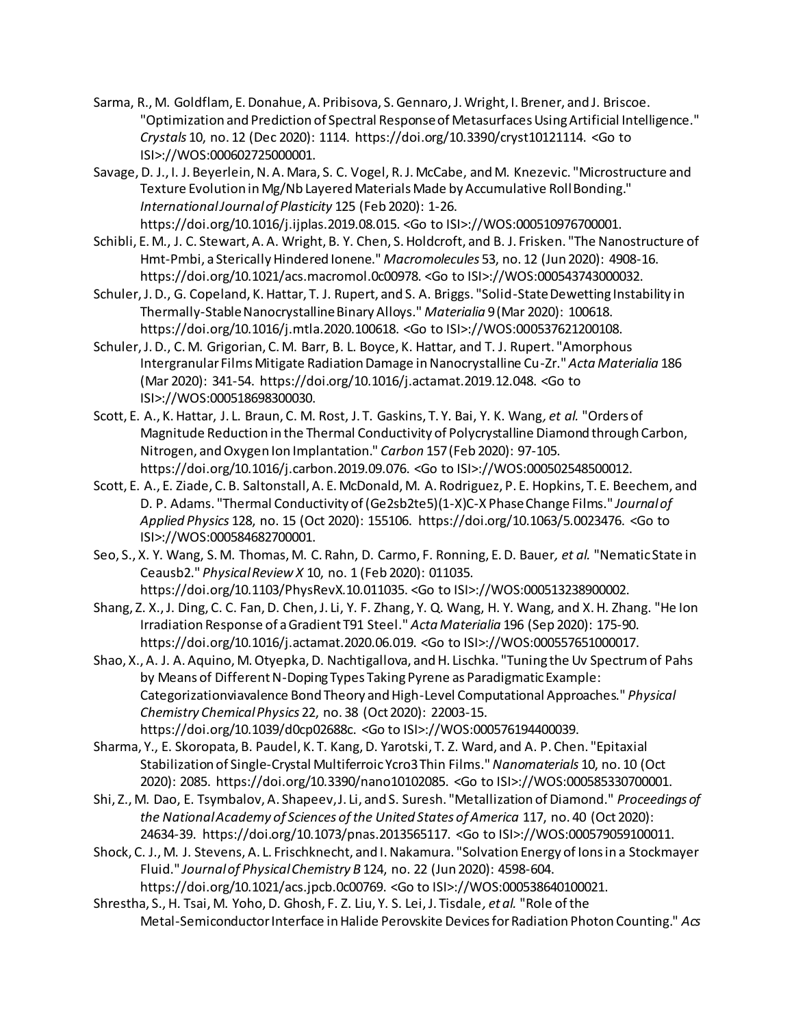- Sarma, R., M. Goldflam, E. Donahue, A. Pribisova, S. Gennaro, J. Wright, I. Brener, and J. Briscoe. "Optimization and Prediction of Spectral Response of Metasurfaces Using Artificial Intelligence." *Crystals* 10, no. 12 (Dec 2020): 1114. https://doi.org/10.3390/cryst10121114. <Go to ISI>://WOS:000602725000001.
- Savage, D. J., I. J. Beyerlein, N. A. Mara, S. C. Vogel, R. J. McCabe, and M. Knezevic. "Microstructure and Texture Evolution in Mg/Nb Layered Materials Made by Accumulative Roll Bonding." *International Journal of Plasticity* 125 (Feb 2020): 1-26. https://doi.org/10.1016/j.ijplas.2019.08.015. <Go to ISI>://WOS:000510976700001.
- Schibli, E. M., J. C. Stewart, A. A. Wright, B. Y. Chen, S. Holdcroft, and B. J. Frisken. "The Nanostructure of Hmt-Pmbi, a Sterically Hindered Ionene." *Macromolecules* 53, no. 12 (Jun 2020): 4908-16. https://doi.org/10.1021/acs.macromol.0c00978. <Go to ISI>://WOS:000543743000032.
- Schuler, J. D., G. Copeland, K. Hattar, T. J. Rupert, and S. A. Briggs. "Solid-State Dewetting Instability in Thermally-Stable Nanocrystalline Binary Alloys." *Materialia* 9 (Mar 2020): 100618. https://doi.org/10.1016/j.mtla.2020.100618. <Go to ISI>://WOS:000537621200108.
- Schuler, J. D., C. M. Grigorian, C. M. Barr, B. L. Boyce, K. Hattar, and T. J. Rupert. "Amorphous Intergranular Films Mitigate Radiation Damage in Nanocrystalline Cu-Zr." *Acta Materialia* 186 (Mar 2020): 341-54. https://doi.org/10.1016/j.actamat.2019.12.048. <Go to ISI>://WOS:000518698300030.
- Scott, E. A., K. Hattar, J. L. Braun, C. M. Rost, J. T. Gaskins, T. Y. Bai, Y. K. Wang*, et al.* "Orders of Magnitude Reduction in the Thermal Conductivity of Polycrystalline Diamond through Carbon, Nitrogen, and Oxygen Ion Implantation." *Carbon* 157 (Feb 2020): 97-105. https://doi.org/10.1016/j.carbon.2019.09.076. <Go to ISI>://WOS:000502548500012.
- Scott, E. A., E. Ziade, C. B. Saltonstall, A. E. McDonald, M. A. Rodriguez, P. E. Hopkins, T. E. Beechem, and D. P. Adams. "Thermal Conductivity of (Ge2sb2te5)(1-X)C-X Phase Change Films." *Journal of Applied Physics* 128, no. 15 (Oct 2020): 155106. https://doi.org/10.1063/5.0023476. <Go to ISI>://WOS:000584682700001.
- Seo, S., X. Y. Wang, S. M. Thomas, M. C. Rahn, D. Carmo, F. Ronning, E. D. Bauer*, et al.* "Nematic State in Ceausb2." *Physical Review X* 10, no. 1 (Feb 2020): 011035. https://doi.org/10.1103/PhysRevX.10.011035. <Go to ISI>://WOS:000513238900002.
- Shang, Z. X., J. Ding, C. C. Fan, D. Chen, J. Li, Y. F. Zhang, Y. Q. Wang, H. Y. Wang, and X. H. Zhang. "He Ion Irradiation Response of a Gradient T91 Steel." *Acta Materialia* 196 (Sep 2020): 175-90. https://doi.org/10.1016/j.actamat.2020.06.019. <Go to ISI>://WOS:000557651000017.
- Shao, X., A. J. A. Aquino, M. Otyepka, D. Nachtigallova, and H. Lischka. "Tuning the Uv Spectrum of Pahs by Means of Different N-Doping Types Taking Pyrene as Paradigmatic Example: Categorizationviavalence Bond Theory and High-Level Computational Approaches." *Physical Chemistry Chemical Physics* 22, no. 38 (Oct 2020): 22003-15. https://doi.org/10.1039/d0cp02688c. <Go to ISI>://WOS:000576194400039.
- Sharma, Y., E. Skoropata, B. Paudel, K. T. Kang, D. Yarotski, T. Z. Ward, and A. P. Chen. "Epitaxial Stabilization of Single-Crystal Multiferroic Ycro3 Thin Films." *Nanomaterials* 10, no. 10 (Oct 2020): 2085. https://doi.org/10.3390/nano10102085. <Go to ISI>://WOS:000585330700001.
- Shi, Z., M. Dao, E. Tsymbalov, A. Shapeev, J. Li, and S. Suresh. "Metallization of Diamond." *Proceedings of the National Academy of Sciences of the United States of America* 117, no. 40 (Oct 2020): 24634-39. https://doi.org/10.1073/pnas.2013565117. <Go to ISI>://WOS:000579059100011.
- Shock, C. J., M. J. Stevens, A. L. Frischknecht, and I. Nakamura. "Solvation Energy of Ions in a Stockmayer Fluid." *Journal of Physical Chemistry B* 124, no. 22 (Jun 2020): 4598-604. https://doi.org/10.1021/acs.jpcb.0c00769. <Go to ISI>://WOS:000538640100021.
- Shrestha, S., H. Tsai, M. Yoho, D. Ghosh, F. Z. Liu, Y. S. Lei, J. Tisdale*, et al.* "Role of the Metal-Semiconductor Interface in Halide Perovskite Devices for Radiation Photon Counting." *Acs*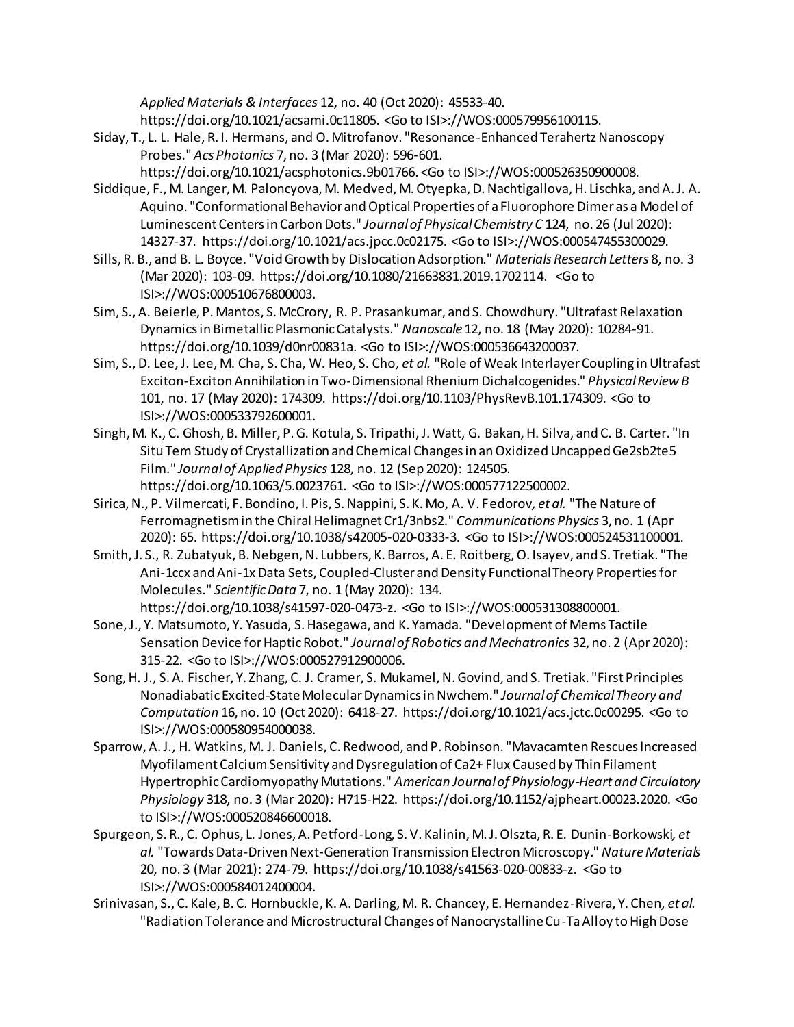*Applied Materials & Interfaces* 12, no. 40 (Oct 2020): 45533-40. https://doi.org/10.1021/acsami.0c11805. <Go to ISI>://WOS:000579956100115.

- Siday, T., L. L. Hale, R. I. Hermans, and O. Mitrofanov. "Resonance-Enhanced Terahertz Nanoscopy Probes." *Acs Photonics* 7, no. 3 (Mar 2020): 596-601. https://doi.org/10.1021/acsphotonics.9b01766. <Go to ISI>://WOS:000526350900008.
- Siddique, F., M. Langer, M. Paloncyova, M. Medved, M. Otyepka, D. Nachtigallova, H. Lischka, and A. J. A. Aquino. "Conformational Behavior and Optical Properties of a Fluorophore Dimer as a Model of Luminescent Centers in Carbon Dots." *Journal of Physical Chemistry C* 124, no. 26 (Jul 2020): 14327-37. https://doi.org/10.1021/acs.jpcc.0c02175. <Go to ISI>://WOS:000547455300029.
- Sills, R. B., and B. L. Boyce. "Void Growth by Dislocation Adsorption." *Materials Research Letters* 8, no. 3 (Mar 2020): 103-09. https://doi.org/10.1080/21663831.2019.1702114. <Go to ISI>://WOS:000510676800003.
- Sim, S., A. Beierle, P. Mantos, S. McCrory, R. P. Prasankumar, and S. Chowdhury. "Ultrafast Relaxation Dynamics in Bimetallic Plasmonic Catalysts." *Nanoscale* 12, no. 18 (May 2020): 10284-91. https://doi.org/10.1039/d0nr00831a. <Go to ISI>://WOS:000536643200037.
- Sim, S., D. Lee, J. Lee, M. Cha, S. Cha, W. Heo, S. Cho*, et al.* "Role of Weak Interlayer Coupling in Ultrafast Exciton-Exciton Annihilation in Two-Dimensional Rhenium Dichalcogenides." *Physical Review B*  101, no. 17 (May 2020): 174309. https://doi.org/10.1103/PhysRevB.101.174309. <Go to ISI>://WOS:000533792600001.
- Singh, M. K., C. Ghosh, B. Miller, P. G. Kotula, S. Tripathi, J. Watt, G. Bakan, H. Silva, and C. B. Carter. "In Situ Tem Study of Crystallization and Chemical Changes in an Oxidized Uncapped Ge2sb2te5 Film." *Journal of Applied Physics* 128, no. 12 (Sep 2020): 124505. https://doi.org/10.1063/5.0023761. <Go to ISI>://WOS:000577122500002.
- Sirica, N., P. Vilmercati, F. Bondino, I. Pis, S. Nappini, S. K. Mo, A. V. Fedorov*, et al.* "The Nature of Ferromagnetism in the Chiral Helimagnet Cr1/3nbs2." *Communications Physics* 3, no. 1 (Apr 2020): 65. https://doi.org/10.1038/s42005-020-0333-3. <Go to ISI>://WOS:000524531100001.
- Smith, J. S., R. Zubatyuk, B. Nebgen, N. Lubbers, K. Barros, A. E. Roitberg, O. Isayev, and S. Tretiak. "The Ani-1ccx and Ani-1x Data Sets, Coupled-Cluster and Density Functional Theory Properties for Molecules." *Scientific Data* 7, no. 1 (May 2020): 134. https://doi.org/10.1038/s41597-020-0473-z. <Go to ISI>://WOS:000531308800001.
- Sone, J., Y. Matsumoto, Y. Yasuda, S. Hasegawa, and K. Yamada. "Development of Mems Tactile Sensation Device for Haptic Robot." *Journal of Robotics and Mechatronics* 32, no. 2 (Apr 2020): 315-22. <Go to ISI>://WOS:000527912900006.
- Song, H. J., S. A. Fischer, Y. Zhang, C. J. Cramer, S. Mukamel, N. Govind, and S. Tretiak. "First Principles Nonadiabatic Excited-State Molecular Dynamics in Nwchem." *Journal of Chemical Theory and Computation* 16, no. 10 (Oct 2020): 6418-27. https://doi.org/10.1021/acs.jctc.0c00295. <Go to ISI>://WOS:000580954000038.
- Sparrow, A. J., H. Watkins, M. J. Daniels, C. Redwood, and P. Robinson. "Mavacamten Rescues Increased Myofilament Calcium Sensitivity and Dysregulation of Ca2+ Flux Caused by Thin Filament Hypertrophic Cardiomyopathy Mutations." *American Journal of Physiology-Heart and Circulatory Physiology* 318, no. 3 (Mar 2020): H715-H22. https://doi.org/10.1152/ajpheart.00023.2020. <Go to ISI>://WOS:000520846600018.
- Spurgeon, S. R., C. Ophus, L. Jones, A. Petford-Long, S. V. Kalinin, M. J. Olszta, R. E. Dunin-Borkowski*, et al.* "Towards Data-Driven Next-Generation Transmission Electron Microscopy." *Nature Materials*  20, no. 3 (Mar 2021): 274-79. https://doi.org/10.1038/s41563-020-00833-z. <Go to ISI>://WOS:000584012400004.
- Srinivasan, S., C. Kale, B. C. Hornbuckle, K. A. Darling, M. R. Chancey, E. Hernandez-Rivera, Y. Chen*, et al.* "Radiation Tolerance and Microstructural Changes of Nanocrystalline Cu-Ta Alloy to High Dose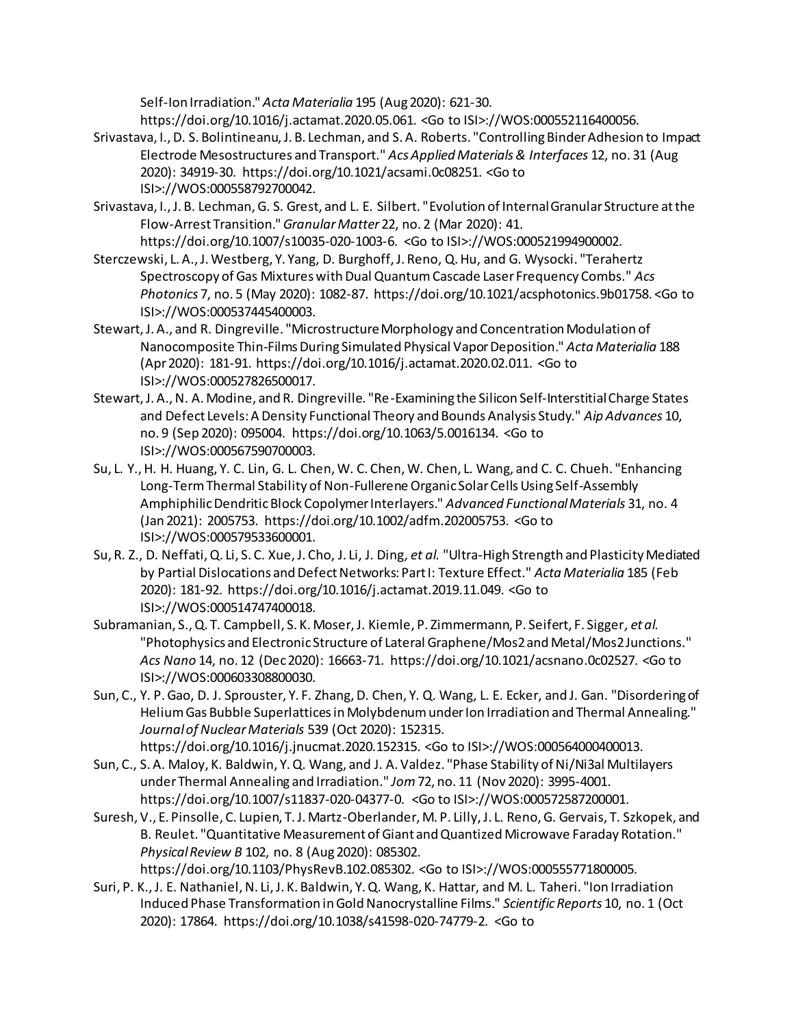Self-Ion Irradiation." *Acta Materialia* 195 (Aug 2020): 621-30. https://doi.org/10.1016/j.actamat.2020.05.061. <Go to ISI>://WOS:000552116400056.

- Srivastava, I., D. S. Bolintineanu, J. B. Lechman, and S. A. Roberts. "Controlling Binder Adhesion to Impact Electrode Mesostructures and Transport." *Acs Applied Materials & Interfaces* 12, no. 31 (Aug 2020): 34919-30. https://doi.org/10.1021/acsami.0c08251. <Go to ISI>://WOS:000558792700042.
- Srivastava, I., J. B. Lechman, G. S. Grest, and L. E. Silbert. "Evolution of Internal Granular Structure at the Flow-Arrest Transition." *Granular Matter* 22, no. 2 (Mar 2020): 41. https://doi.org/10.1007/s10035-020-1003-6. <Go to ISI>://WOS:000521994900002.
- Sterczewski, L. A., J. Westberg, Y. Yang, D. Burghoff, J. Reno, Q. Hu, and G. Wysocki. "Terahertz Spectroscopy of Gas Mixtures with Dual Quantum Cascade Laser Frequency Combs." *Acs Photonics* 7, no. 5 (May 2020): 1082-87. https://doi.org/10.1021/acsphotonics.9b01758. <Go to ISI>://WOS:000537445400003.
- Stewart, J. A., and R. Dingreville. "Microstructure Morphology and Concentration Modulation of Nanocomposite Thin-Films During Simulated Physical Vapor Deposition." *Acta Materialia* 188 (Apr 2020): 181-91. https://doi.org/10.1016/j.actamat.2020.02.011. <Go to ISI>://WOS:000527826500017.
- Stewart, J. A., N. A. Modine, and R. Dingreville. "Re-Examining the Silicon Self-Interstitial Charge States and Defect Levels: A Density Functional Theory and Bounds Analysis Study." *Aip Advances* 10, no. 9 (Sep 2020): 095004. https://doi.org/10.1063/5.0016134. <Go to ISI>://WOS:000567590700003.
- Su, L. Y., H. H. Huang, Y. C. Lin, G. L. Chen, W. C. Chen, W. Chen, L. Wang, and C. C. Chueh. "Enhancing Long-Term Thermal Stability of Non-Fullerene Organic Solar Cells Using Self-Assembly Amphiphilic Dendritic Block Copolymer Interlayers." *Advanced Functional Materials* 31, no. 4 (Jan 2021): 2005753. https://doi.org/10.1002/adfm.202005753. <Go to ISI>://WOS:000579533600001.
- Su, R. Z., D. Neffati, Q. Li, S. C. Xue, J. Cho, J. Li, J. Ding*, et al.* "Ultra-High Strength and Plasticity Mediated by Partial Dislocations and Defect Networks: Part I: Texture Effect." *Acta Materialia* 185 (Feb 2020): 181-92. https://doi.org/10.1016/j.actamat.2019.11.049. <Go to ISI>://WOS:000514747400018.
- Subramanian, S., Q. T. Campbell, S. K. Moser, J. Kiemle, P. Zimmermann, P. Seifert, F. Sigger*, et al.* "Photophysics and Electronic Structure of Lateral Graphene/Mos2 and Metal/Mos2 Junctions." *Acs Nano* 14, no. 12 (Dec 2020): 16663-71. https://doi.org/10.1021/acsnano.0c02527. <Go to ISI>://WOS:000603308800030.
- Sun, C., Y. P. Gao, D. J. Sprouster, Y. F. Zhang, D. Chen, Y. Q. Wang, L. E. Ecker, and J. Gan. "Disordering of Helium Gas Bubble Superlattices in Molybdenum under Ion Irradiation and Thermal Annealing." *Journalof Nuclear Materials* 539 (Oct 2020): 152315. https://doi.org/10.1016/j.jnucmat.2020.152315. <Go to ISI>://WOS:000564000400013.
- Sun, C., S. A. Maloy, K. Baldwin, Y. Q. Wang, and J. A. Valdez. "Phase Stability of Ni/Ni3al Multilayers under Thermal Annealing and Irradiation." *Jom* 72, no. 11 (Nov 2020): 3995-4001. https://doi.org/10.1007/s11837-020-04377-0. <Go to ISI>://WOS:000572587200001.
- Suresh, V., E. Pinsolle, C. Lupien, T. J. Martz-Oberlander, M. P. Lilly, J. L. Reno, G. Gervais, T. Szkopek, and B. Reulet. "Quantitative Measurement of Giant and Quantized Microwave Faraday Rotation." *Physical Review B* 102, no. 8 (Aug 2020): 085302. https://doi.org/10.1103/PhysRevB.102.085302. <Go to ISI>://WOS:000555771800005.
- Suri, P. K., J. E. Nathaniel, N. Li, J. K. Baldwin, Y. Q. Wang, K. Hattar, and M. L. Taheri. "Ion Irradiation Induced Phase Transformation in Gold Nanocrystalline Films." *Scientific Reports* 10, no. 1 (Oct 2020): 17864. https://doi.org/10.1038/s41598-020-74779-2. <Go to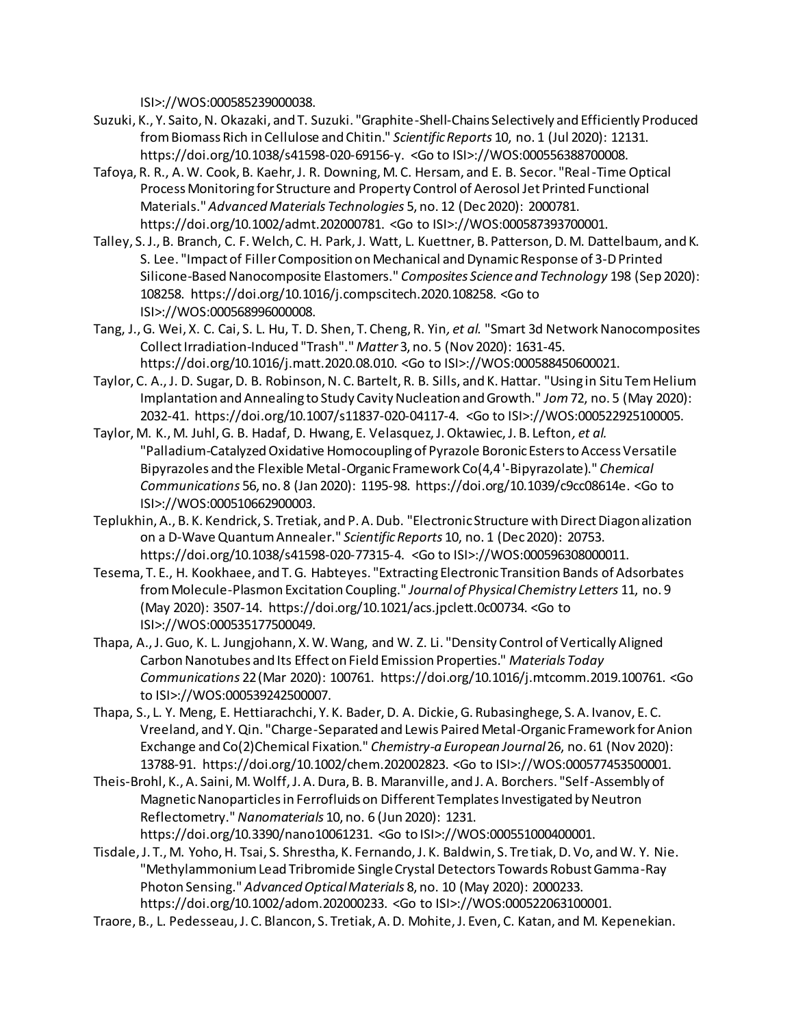ISI>://WOS:000585239000038.

- Suzuki, K., Y. Saito, N. Okazaki, and T. Suzuki. "Graphite-Shell-Chains Selectively and Efficiently Produced from Biomass Rich in Cellulose and Chitin." *Scientific Reports* 10, no. 1 (Jul 2020): 12131. https://doi.org/10.1038/s41598-020-69156-y. <Go to ISI>://WOS:000556388700008.
- Tafoya, R. R., A. W. Cook, B. Kaehr, J. R. Downing, M. C. Hersam, and E. B. Secor. "Real-Time Optical Process Monitoring for Structure and Property Control of Aerosol Jet Printed Functional Materials." *Advanced Materials Technologies* 5, no. 12 (Dec 2020): 2000781. https://doi.org/10.1002/admt.202000781. <Go to ISI>://WOS:000587393700001.
- Talley, S. J., B. Branch, C. F. Welch, C. H. Park, J. Watt, L. Kuettner, B. Patterson, D. M. Dattelbaum, and K. S. Lee. "Impact of Filler Composition on Mechanical and Dynamic Response of 3-D Printed Silicone-Based Nanocomposite Elastomers." *Composites Science and Technology* 198 (Sep 2020): 108258. https://doi.org/10.1016/j.compscitech.2020.108258. <Go to ISI>://WOS:000568996000008.
- Tang, J., G. Wei, X. C. Cai, S. L. Hu, T. D. Shen, T. Cheng, R. Yin*, et al.* "Smart 3d Network Nanocomposites Collect Irradiation-Induced "Trash"." *Matter* 3, no. 5 (Nov 2020): 1631-45. https://doi.org/10.1016/j.matt.2020.08.010. <Go to ISI>://WOS:000588450600021.
- Taylor, C. A., J. D. Sugar, D. B. Robinson, N. C. Bartelt, R. B. Sills, and K. Hattar. "Using in Situ Tem Helium Implantation and Annealing to Study Cavity Nucleation and Growth." *Jom* 72, no. 5 (May 2020): 2032-41. https://doi.org/10.1007/s11837-020-04117-4. <Go to ISI>://WOS:000522925100005.
- Taylor, M. K., M. Juhl, G. B. Hadaf, D. Hwang, E. Velasquez, J. Oktawiec, J. B. Lefton*, et al.* "Palladium-Catalyzed Oxidative Homocoupling of Pyrazole Boronic Esters to Access Versatile Bipyrazoles and the Flexible Metal-Organic Framework Co(4,4 '-Bipyrazolate)." *Chemical Communications* 56, no. 8 (Jan 2020): 1195-98. https://doi.org/10.1039/c9cc08614e. <Go to ISI>://WOS:000510662900003.
- Teplukhin, A., B. K. Kendrick, S. Tretiak, and P. A. Dub. "Electronic Structure with Direct Diagonalization on a D-Wave Quantum Annealer." *Scientific Reports* 10, no. 1 (Dec 2020): 20753. https://doi.org/10.1038/s41598-020-77315-4. <Go to ISI>://WOS:000596308000011.
- Tesema, T. E., H. Kookhaee, and T. G. Habteyes. "Extracting Electronic Transition Bands of Adsorbates from Molecule-Plasmon Excitation Coupling." *Journal of Physical Chemistry Letters* 11, no. 9 (May 2020): 3507-14. https://doi.org/10.1021/acs.jpclett.0c00734. <Go to ISI>://WOS:000535177500049.
- Thapa, A., J. Guo, K. L. Jungjohann, X. W. Wang, and W. Z. Li. "Density Control of Vertically Aligned Carbon Nanotubes and Its Effect on Field Emission Properties." *Materials Today Communications* 22 (Mar 2020): 100761. https://doi.org/10.1016/j.mtcomm.2019.100761. <Go to ISI>://WOS:000539242500007.
- Thapa, S., L. Y. Meng, E. Hettiarachchi, Y. K. Bader, D. A. Dickie, G. Rubasinghege, S. A. Ivanov, E. C. Vreeland, and Y. Qin. "Charge-Separated and Lewis Paired Metal-Organic Framework for Anion Exchange and Co(2)Chemical Fixation." *Chemistry-a European Journal* 26, no. 61 (Nov 2020): 13788-91. https://doi.org/10.1002/chem.202002823. <Go to ISI>://WOS:000577453500001.
- Theis-Brohl, K., A. Saini, M. Wolff, J. A. Dura, B. B. Maranville, and J. A. Borchers. "Self-Assembly of Magnetic Nanoparticles in Ferrofluids on Different Templates Investigated by Neutron Reflectometry." *Nanomaterials* 10, no. 6 (Jun 2020): 1231. https://doi.org/10.3390/nano10061231. <Go to ISI>://WOS:000551000400001.
- Tisdale, J. T., M. Yoho, H. Tsai, S. Shrestha, K. Fernando, J. K. Baldwin, S. Tretiak, D. Vo, and W. Y. Nie. "Methylammonium Lead Tribromide Single Crystal Detectors Towards Robust Gamma-Ray Photon Sensing." *Advanced Optical Materials* 8, no. 10 (May 2020): 2000233. https://doi.org/10.1002/adom.202000233. <Go to ISI>://WOS:000522063100001.
- Traore, B., L. Pedesseau, J. C. Blancon, S. Tretiak, A. D. Mohite, J. Even, C. Katan, and M. Kepenekian.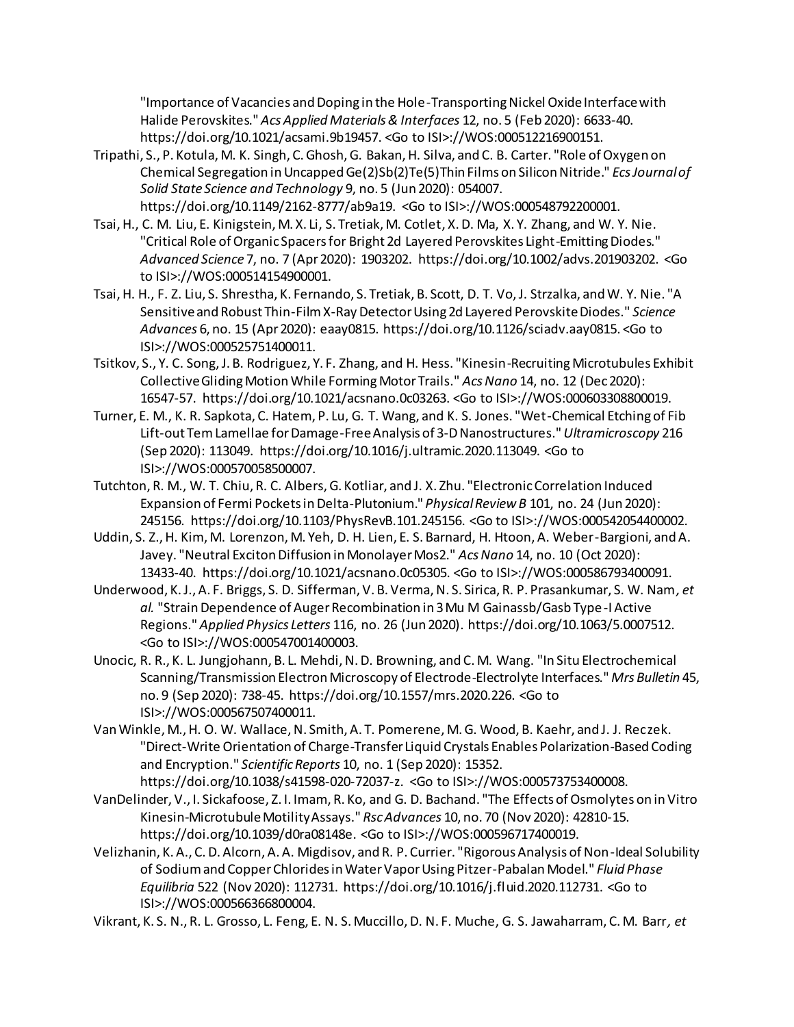"Importance of Vacancies and Doping in the Hole-Transporting Nickel Oxide Interface with Halide Perovskites." *Acs Applied Materials & Interfaces* 12, no. 5 (Feb 2020): 6633-40. https://doi.org/10.1021/acsami.9b19457. <Go to ISI>://WOS:000512216900151.

- Tripathi, S., P. Kotula, M. K. Singh, C. Ghosh, G. Bakan, H. Silva, and C. B. Carter. "Role of Oxygen on Chemical Segregation in Uncapped Ge(2)Sb(2)Te(5)Thin Films on Silicon Nitride." *Ecs Journal of Solid State Science and Technology* 9, no. 5 (Jun 2020): 054007. https://doi.org/10.1149/2162-8777/ab9a19. <Go to ISI>://WOS:000548792200001.
- Tsai, H., C. M. Liu, E. Kinigstein, M. X. Li, S. Tretiak, M. Cotlet, X. D. Ma, X. Y. Zhang, and W. Y. Nie. "Critical Role of Organic Spacers for Bright 2d Layered Perovskites Light-Emitting Diodes." *Advanced Science* 7, no. 7 (Apr 2020): 1903202. https://doi.org/10.1002/advs.201903202. <Go to ISI>://WOS:000514154900001.
- Tsai, H. H., F. Z. Liu, S. Shrestha, K. Fernando, S. Tretiak, B. Scott, D. T. Vo, J. Strzalka, and W. Y. Nie. "A Sensitive and Robust Thin-Film X-Ray Detector Using 2d Layered Perovskite Diodes." *Science Advances* 6, no. 15 (Apr 2020): eaay0815. https://doi.org/10.1126/sciadv.aay0815. <Go to ISI>://WOS:000525751400011.
- Tsitkov, S., Y. C. Song, J. B. Rodriguez, Y. F. Zhang, and H. Hess. "Kinesin-Recruiting Microtubules Exhibit Collective Gliding Motion While Forming Motor Trails." *Acs Nano* 14, no. 12 (Dec 2020): 16547-57. https://doi.org/10.1021/acsnano.0c03263. <Go to ISI>://WOS:000603308800019.
- Turner, E. M., K. R. Sapkota, C. Hatem, P. Lu, G. T. Wang, and K. S. Jones. "Wet-Chemical Etching of Fib Lift-out Tem Lamellae for Damage-Free Analysis of 3-D Nanostructures." *Ultramicroscopy* 216 (Sep 2020): 113049. https://doi.org/10.1016/j.ultramic.2020.113049. <Go to ISI>://WOS:000570058500007.
- Tutchton, R. M., W. T. Chiu, R. C. Albers, G. Kotliar, and J. X. Zhu. "Electronic Correlation Induced Expansion of Fermi Pockets in Delta-Plutonium." *Physical Review B* 101, no. 24 (Jun 2020): 245156. https://doi.org/10.1103/PhysRevB.101.245156. <Go to ISI>://WOS:000542054400002.
- Uddin, S. Z., H. Kim, M. Lorenzon, M. Yeh, D. H. Lien, E. S. Barnard, H. Htoon, A. Weber-Bargioni, and A. Javey. "Neutral Exciton Diffusion in Monolayer Mos2." *Acs Nano* 14, no. 10 (Oct 2020): 13433-40. https://doi.org/10.1021/acsnano.0c05305. <Go to ISI>://WOS:000586793400091.
- Underwood, K. J., A. F. Briggs, S. D. Sifferman, V. B. Verma, N. S. Sirica, R. P. Prasankumar, S. W. Nam*, et al.* "Strain Dependence of Auger Recombination in 3 Mu M Gainassb/Gasb Type-I Active Regions." *Applied Physics Letters* 116, no. 26 (Jun 2020). https://doi.org/10.1063/5.0007512. <Go to ISI>://WOS:000547001400003.
- Unocic, R. R., K. L. Jungjohann, B. L. Mehdi, N. D. Browning, and C. M. Wang. "In Situ Electrochemical Scanning/Transmission Electron Microscopy of Electrode-Electrolyte Interfaces." *Mrs Bulletin* 45, no. 9 (Sep 2020): 738-45. https://doi.org/10.1557/mrs.2020.226. <Go to ISI>://WOS:000567507400011.
- Van Winkle, M., H. O. W. Wallace, N. Smith, A. T. Pomerene, M. G. Wood, B. Kaehr, and J. J. Reczek. "Direct-Write Orientation of Charge-Transfer Liquid Crystals Enables Polarization-Based Coding and Encryption." *Scientific Reports* 10, no. 1 (Sep 2020): 15352. https://doi.org/10.1038/s41598-020-72037-z. <Go to ISI>://WOS:000573753400008.
- VanDelinder, V., I. Sickafoose, Z. I. Imam, R. Ko, and G. D. Bachand. "The Effects of Osmolytes on in Vitro Kinesin-Microtubule Motility Assays." *Rsc Advances* 10, no. 70 (Nov 2020): 42810-15. https://doi.org/10.1039/d0ra08148e. <Go to ISI>://WOS:000596717400019.
- Velizhanin, K. A., C. D. Alcorn, A. A. Migdisov, and R. P. Currier. "Rigorous Analysis of Non-Ideal Solubility of Sodium and Copper Chlorides in Water Vapor Using Pitzer-Pabalan Model." *Fluid Phase Equilibria* 522 (Nov 2020): 112731. https://doi.org/10.1016/j.fluid.2020.112731. <Go to ISI>://WOS:000566366800004.
- Vikrant, K. S. N., R. L. Grosso, L. Feng, E. N. S. Muccillo, D. N. F. Muche, G. S. Jawaharram, C. M. Barr*, et*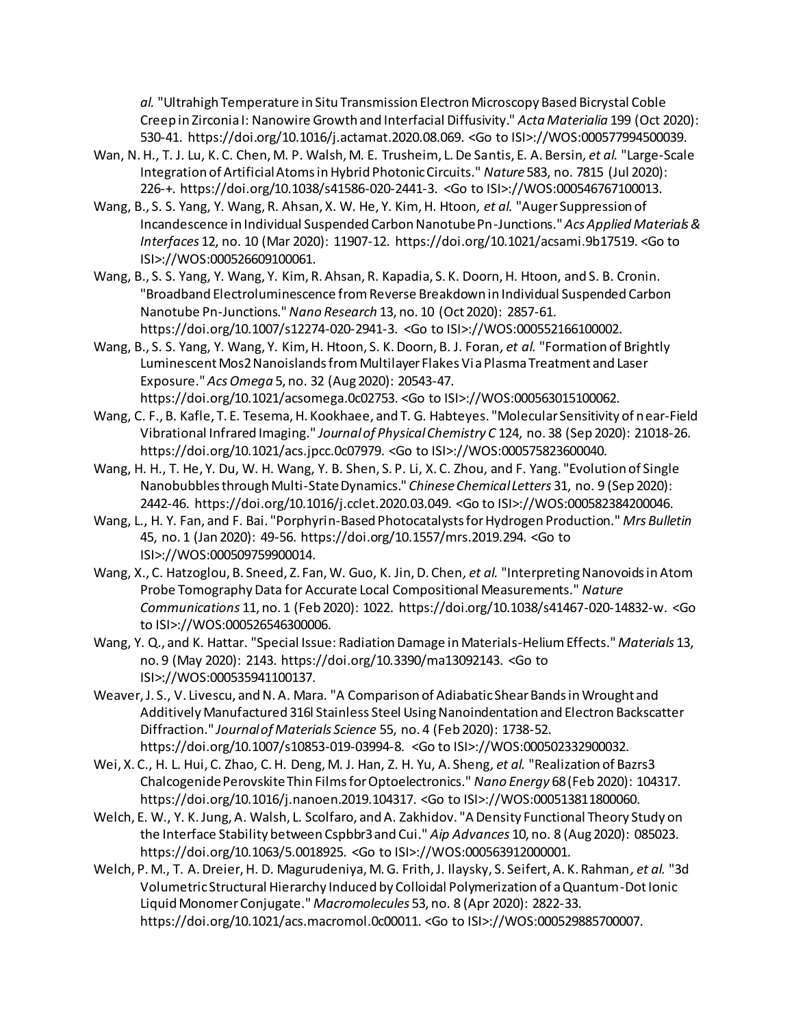*al.* "Ultrahigh Temperature in Situ Transmission Electron Microscopy Based Bicrystal Coble Creep in Zirconia I: Nanowire Growth and Interfacial Diffusivity." *Acta Materialia* 199 (Oct 2020): 530-41. https://doi.org/10.1016/j.actamat.2020.08.069. <Go to ISI>://WOS:000577994500039.

- Wan, N. H., T. J. Lu, K. C. Chen, M. P. Walsh, M. E. Trusheim, L. De Santis, E. A. Bersin*, et al.* "Large-Scale Integration of Artificial Atoms in Hybrid Photonic Circuits." *Nature* 583, no. 7815 (Jul 2020): 226-+. https://doi.org/10.1038/s41586-020-2441-3. <Go to ISI>://WOS:000546767100013.
- Wang, B., S. S. Yang, Y. Wang, R. Ahsan, X. W. He, Y. Kim, H. Htoon*, et al.* "Auger Suppression of Incandescence in Individual Suspended Carbon Nanotube Pn-Junctions." *Acs Applied Materials & Interfaces* 12, no. 10 (Mar 2020): 11907-12. https://doi.org/10.1021/acsami.9b17519. <Go to ISI>://WOS:000526609100061.
- Wang, B., S. S. Yang, Y. Wang, Y. Kim, R. Ahsan, R. Kapadia, S. K. Doorn, H. Htoon, and S. B. Cronin. "Broadband Electroluminescence from Reverse Breakdown in Individual Suspended Carbon Nanotube Pn-Junctions." *Nano Research* 13, no. 10 (Oct 2020): 2857-61. https://doi.org/10.1007/s12274-020-2941-3. <Go to ISI>://WOS:000552166100002.
- Wang, B., S. S. Yang, Y. Wang, Y. Kim, H. Htoon, S. K. Doorn, B. J. Foran*, et al.* "Formation of Brightly Luminescent Mos2 Nanoislands from Multilayer Flakes Via Plasma Treatment and Laser Exposure." *Acs Omega* 5, no. 32 (Aug 2020): 20543-47. https://doi.org/10.1021/acsomega.0c02753. <Go to ISI>://WOS:000563015100062.
- Wang, C. F., B. Kafle, T. E. Tesema, H. Kookhaee, and T. G. Habteyes. "Molecular Sensitivity of near-Field Vibrational Infrared Imaging." *Journal of Physical Chemistry C* 124, no. 38 (Sep 2020): 21018-26. https://doi.org/10.1021/acs.jpcc.0c07979. <Go to ISI>://WOS:000575823600040.
- Wang, H. H., T. He, Y. Du, W. H. Wang, Y. B. Shen, S. P. Li, X. C. Zhou, and F. Yang. "Evolution of Single Nanobubbles through Multi-State Dynamics." *Chinese Chemical Letters* 31, no. 9 (Sep 2020): 2442-46. https://doi.org/10.1016/j.cclet.2020.03.049. <Go to ISI>://WOS:000582384200046.
- Wang, L., H. Y. Fan, and F. Bai. "Porphyrin-Based Photocatalysts for Hydrogen Production." *Mrs Bulletin*  45, no. 1 (Jan 2020): 49-56. https://doi.org/10.1557/mrs.2019.294. <Go to ISI>://WOS:000509759900014.
- Wang, X., C. Hatzoglou, B. Sneed, Z. Fan, W. Guo, K. Jin, D. Chen*, et al.* "Interpreting Nanovoids in Atom Probe Tomography Data for Accurate Local Compositional Measurements." *Nature Communications* 11, no. 1 (Feb 2020): 1022. https://doi.org/10.1038/s41467-020-14832-w. <Go to ISI>://WOS:000526546300006.
- Wang, Y. Q., and K. Hattar. "Special Issue: Radiation Damage in Materials-Helium Effects." *Materials* 13, no. 9 (May 2020): 2143. https://doi.org/10.3390/ma13092143. <Go to ISI>://WOS:000535941100137.
- Weaver, J. S., V. Livescu, and N. A. Mara. "A Comparison of Adiabatic Shear Bands in Wrought and Additively Manufactured 316l Stainless Steel Using Nanoindentation and Electron Backscatter Diffraction." *Journal of Materials Science* 55, no. 4 (Feb 2020): 1738-52. https://doi.org/10.1007/s10853-019-03994-8. <Go to ISI>://WOS:000502332900032.
- Wei, X. C., H. L. Hui, C. Zhao, C. H. Deng, M. J. Han, Z. H. Yu, A. Sheng*, et al.* "Realization of Bazrs3 Chalcogenide Perovskite Thin Films for Optoelectronics." *Nano Energy* 68 (Feb 2020): 104317. https://doi.org/10.1016/j.nanoen.2019.104317. <Go to ISI>://WOS:000513811800060.
- Welch, E. W., Y. K. Jung, A. Walsh, L. Scolfaro, and A. Zakhidov. "A Density Functional Theory Study on the Interface Stability between Cspbbr3 and Cui." *Aip Advances* 10, no. 8 (Aug 2020): 085023. https://doi.org/10.1063/5.0018925. <Go to ISI>://WOS:000563912000001.
- Welch, P. M., T. A. Dreier, H. D. Magurudeniya, M. G. Frith, J. Ilaysky, S. Seifert, A. K. Rahman*, et al.* "3d Volumetric Structural Hierarchy Induced by Colloidal Polymerization of a Quantum-Dot Ionic Liquid Monomer Conjugate." *Macromolecules* 53, no. 8 (Apr 2020): 2822-33. https://doi.org/10.1021/acs.macromol.0c00011. <Go to ISI>://WOS:000529885700007.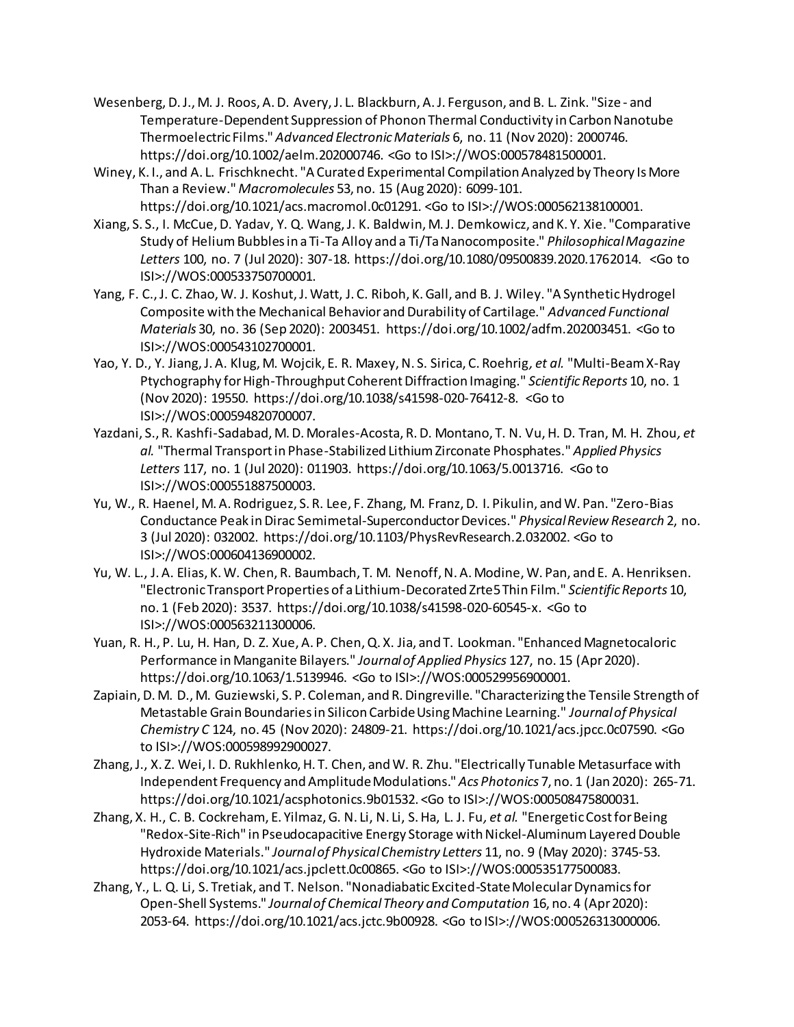- Wesenberg, D. J., M. J. Roos, A. D. Avery, J. L. Blackburn, A. J. Ferguson, and B. L. Zink. "Size and Temperature-Dependent Suppression of Phonon Thermal Conductivity in Carbon Nanotube Thermoelectric Films." *Advanced Electronic Materials* 6, no. 11 (Nov 2020): 2000746. https://doi.org/10.1002/aelm.202000746. <Go to ISI>://WOS:000578481500001.
- Winey, K. I., and A. L. Frischknecht. "A Curated Experimental Compilation Analyzed by Theory Is More Than a Review." *Macromolecules* 53, no. 15 (Aug 2020): 6099-101. https://doi.org/10.1021/acs.macromol.0c01291. <Go to ISI>://WOS:000562138100001.
- Xiang, S. S., I. McCue, D. Yadav, Y. Q. Wang, J. K. Baldwin, M. J. Demkowicz, and K. Y. Xie. "Comparative Study of Helium Bubbles in a Ti-Ta Alloy and a Ti/Ta Nanocomposite." *Philosophical Magazine Letters* 100, no. 7 (Jul 2020): 307-18. https://doi.org/10.1080/09500839.2020.1762014. <Go to ISI>://WOS:000533750700001.
- Yang, F. C., J. C. Zhao, W. J. Koshut, J. Watt, J. C. Riboh, K. Gall, and B. J. Wiley. "A Synthetic Hydrogel Composite with the Mechanical Behavior and Durability of Cartilage." *Advanced Functional Materials* 30, no. 36 (Sep 2020): 2003451. https://doi.org/10.1002/adfm.202003451. <Go to ISI>://WOS:000543102700001.
- Yao, Y. D., Y. Jiang, J. A. Klug, M. Wojcik, E. R. Maxey, N. S. Sirica, C. Roehrig*, et al.* "Multi-Beam X-Ray Ptychography for High-Throughput Coherent Diffraction Imaging." *Scientific Reports* 10, no. 1 (Nov 2020): 19550. https://doi.org/10.1038/s41598-020-76412-8. <Go to ISI>://WOS:000594820700007.
- Yazdani, S., R. Kashfi-Sadabad, M. D. Morales-Acosta, R. D. Montano, T. N. Vu, H. D. Tran, M. H. Zhou*, et al.* "Thermal Transport in Phase-Stabilized Lithium Zirconate Phosphates." *Applied Physics Letters* 117, no. 1 (Jul 2020): 011903. https://doi.org/10.1063/5.0013716. <Go to ISI>://WOS:000551887500003.
- Yu, W., R. Haenel, M. A. Rodriguez, S. R. Lee, F. Zhang, M. Franz, D. I. Pikulin, and W. Pan. "Zero-Bias Conductance Peak in Dirac Semimetal-Superconductor Devices." *Physical Review Research* 2, no. 3 (Jul 2020): 032002. https://doi.org/10.1103/PhysRevResearch.2.032002. <Go to ISI>://WOS:000604136900002.
- Yu, W. L., J. A. Elias, K. W. Chen, R. Baumbach, T. M. Nenoff, N. A. Modine, W. Pan, and E. A. Henriksen. "Electronic Transport Properties of a Lithium-Decorated Zrte5 Thin Film." *Scientific Reports* 10, no. 1 (Feb 2020): 3537. https://doi.org/10.1038/s41598-020-60545-x. <Go to ISI>://WOS:000563211300006.
- Yuan, R. H., P. Lu, H. Han, D. Z. Xue, A. P. Chen, Q. X. Jia, and T. Lookman. "Enhanced Magnetocaloric Performance in Manganite Bilayers." *Journal of Applied Physics* 127, no. 15 (Apr 2020). https://doi.org/10.1063/1.5139946. <Go to ISI>://WOS:000529956900001.
- Zapiain, D. M. D., M. Guziewski, S. P. Coleman, and R. Dingreville. "Characterizing the Tensile Strength of Metastable Grain Boundaries in Silicon Carbide Using Machine Learning." *Journal of Physical Chemistry C* 124, no. 45 (Nov 2020): 24809-21. https://doi.org/10.1021/acs.jpcc.0c07590. <Go to ISI>://WOS:000598992900027.
- Zhang, J., X. Z. Wei, I. D. Rukhlenko, H. T. Chen, and W. R. Zhu. "Electrically Tunable Metasurface with Independent Frequency and Amplitude Modulations." *Acs Photonics* 7, no. 1 (Jan 2020): 265-71. https://doi.org/10.1021/acsphotonics.9b01532. <Go to ISI>://WOS:000508475800031.
- Zhang, X. H., C. B. Cockreham, E. Yilmaz, G. N. Li, N. Li, S. Ha, L. J. Fu*, et al.* "Energetic Cost for Being "Redox-Site-Rich" in Pseudocapacitive Energy Storage with Nickel-Aluminum Layered Double Hydroxide Materials." *Journal of Physical Chemistry Letters* 11, no. 9 (May 2020): 3745-53. https://doi.org/10.1021/acs.jpclett.0c00865. <Go to ISI>://WOS:000535177500083.
- Zhang, Y., L. Q. Li, S. Tretiak, and T. Nelson. "Nonadiabatic Excited-State Molecular Dynamics for Open-Shell Systems." *Journal of Chemical Theory and Computation* 16, no. 4 (Apr 2020): 2053-64. https://doi.org/10.1021/acs.jctc.9b00928. <Go to ISI>://WOS:000526313000006.